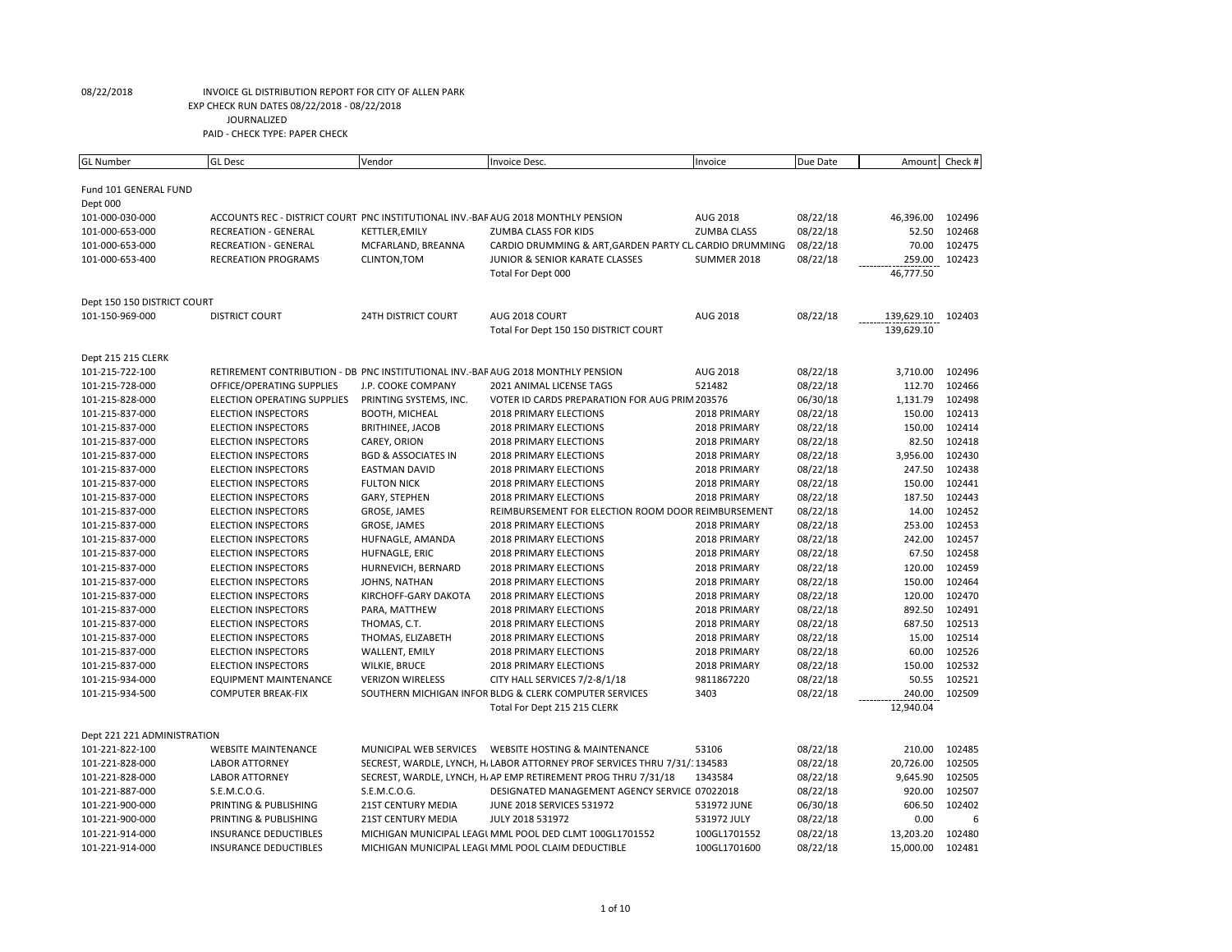| <b>GL Number</b>            | <b>GL Desc</b>                                                                    | Vendor                         | Invoice Desc.                                                              | Invoice            | Due Date | Amount     | Check # |
|-----------------------------|-----------------------------------------------------------------------------------|--------------------------------|----------------------------------------------------------------------------|--------------------|----------|------------|---------|
|                             |                                                                                   |                                |                                                                            |                    |          |            |         |
| Fund 101 GENERAL FUND       |                                                                                   |                                |                                                                            |                    |          |            |         |
| Dept 000                    |                                                                                   |                                |                                                                            |                    |          |            |         |
| 101-000-030-000             | ACCOUNTS REC - DISTRICT COURT PNC INSTITUTIONAL INV.-BAF AUG 2018 MONTHLY PENSION |                                |                                                                            | AUG 2018           | 08/22/18 | 46,396.00  | 102496  |
| 101-000-653-000             | <b>RECREATION - GENERAL</b>                                                       | KETTLER, EMILY                 | ZUMBA CLASS FOR KIDS                                                       | <b>ZUMBA CLASS</b> | 08/22/18 | 52.50      | 102468  |
| 101-000-653-000             | <b>RECREATION - GENERAL</b>                                                       | MCFARLAND, BREANNA             | CARDIO DRUMMING & ART, GARDEN PARTY CL CARDIO DRUMMING                     |                    | 08/22/18 | 70.00      | 102475  |
| 101-000-653-400             | <b>RECREATION PROGRAMS</b>                                                        | CLINTON, TOM                   | JUNIOR & SENIOR KARATE CLASSES                                             | SUMMER 2018        | 08/22/18 | 259.00     | 102423  |
|                             |                                                                                   |                                | Total For Dept 000                                                         |                    |          | 46,777.50  |         |
|                             |                                                                                   |                                |                                                                            |                    |          |            |         |
| Dept 150 150 DISTRICT COURT |                                                                                   |                                |                                                                            |                    |          |            |         |
| 101-150-969-000             | <b>DISTRICT COURT</b>                                                             | <b>24TH DISTRICT COURT</b>     | AUG 2018 COURT                                                             | AUG 2018           | 08/22/18 | 139,629.10 | 102403  |
|                             |                                                                                   |                                | Total For Dept 150 150 DISTRICT COURT                                      |                    |          | 139,629.10 |         |
|                             |                                                                                   |                                |                                                                            |                    |          |            |         |
| Dept 215 215 CLERK          |                                                                                   |                                |                                                                            |                    |          |            |         |
| 101-215-722-100             | RETIREMENT CONTRIBUTION - DB PNC INSTITUTIONAL INV.-BAF AUG 2018 MONTHLY PENSION  |                                |                                                                            | AUG 2018           | 08/22/18 | 3,710.00   | 102496  |
| 101-215-728-000             | OFFICE/OPERATING SUPPLIES                                                         | J.P. COOKE COMPANY             | 2021 ANIMAL LICENSE TAGS                                                   | 521482             | 08/22/18 | 112.70     | 102466  |
| 101-215-828-000             | <b>ELECTION OPERATING SUPPLIES</b>                                                | PRINTING SYSTEMS, INC.         | VOTER ID CARDS PREPARATION FOR AUG PRIM 203576                             |                    | 06/30/18 | 1,131.79   | 102498  |
| 101-215-837-000             | <b>ELECTION INSPECTORS</b>                                                        | <b>BOOTH, MICHEAL</b>          | 2018 PRIMARY ELECTIONS                                                     | 2018 PRIMARY       | 08/22/18 | 150.00     | 102413  |
| 101-215-837-000             | <b>ELECTION INSPECTORS</b>                                                        | BRITHINEE, JACOB               | 2018 PRIMARY ELECTIONS                                                     | 2018 PRIMARY       | 08/22/18 | 150.00     | 102414  |
| 101-215-837-000             | <b>ELECTION INSPECTORS</b>                                                        | CAREY, ORION                   | 2018 PRIMARY ELECTIONS                                                     | 2018 PRIMARY       | 08/22/18 | 82.50      | 102418  |
| 101-215-837-000             | <b>ELECTION INSPECTORS</b>                                                        | <b>BGD &amp; ASSOCIATES IN</b> | 2018 PRIMARY ELECTIONS                                                     | 2018 PRIMARY       | 08/22/18 | 3,956.00   | 102430  |
| 101-215-837-000             | <b>ELECTION INSPECTORS</b>                                                        | <b>EASTMAN DAVID</b>           | 2018 PRIMARY ELECTIONS                                                     | 2018 PRIMARY       | 08/22/18 | 247.50     | 102438  |
| 101-215-837-000             | <b>ELECTION INSPECTORS</b>                                                        | <b>FULTON NICK</b>             | 2018 PRIMARY ELECTIONS                                                     | 2018 PRIMARY       | 08/22/18 | 150.00     | 102441  |
| 101-215-837-000             | <b>ELECTION INSPECTORS</b>                                                        | GARY, STEPHEN                  | 2018 PRIMARY ELECTIONS                                                     | 2018 PRIMARY       | 08/22/18 | 187.50     | 102443  |
| 101-215-837-000             | <b>ELECTION INSPECTORS</b>                                                        | GROSE, JAMES                   | REIMBURSEMENT FOR ELECTION ROOM DOOR REIMBURSEMENT                         |                    | 08/22/18 | 14.00      | 102452  |
| 101-215-837-000             | <b>ELECTION INSPECTORS</b>                                                        | GROSE, JAMES                   | <b>2018 PRIMARY ELECTIONS</b>                                              | 2018 PRIMARY       | 08/22/18 | 253.00     | 102453  |
| 101-215-837-000             | <b>ELECTION INSPECTORS</b>                                                        | HUFNAGLE, AMANDA               | <b>2018 PRIMARY ELECTIONS</b>                                              | 2018 PRIMARY       | 08/22/18 | 242.00     | 102457  |
| 101-215-837-000             | <b>ELECTION INSPECTORS</b>                                                        | HUFNAGLE, ERIC                 | <b>2018 PRIMARY ELECTIONS</b>                                              | 2018 PRIMARY       | 08/22/18 | 67.50      | 102458  |
| 101-215-837-000             | <b>ELECTION INSPECTORS</b>                                                        | HURNEVICH, BERNARD             | 2018 PRIMARY ELECTIONS                                                     | 2018 PRIMARY       | 08/22/18 | 120.00     | 102459  |
| 101-215-837-000             | <b>ELECTION INSPECTORS</b>                                                        | JOHNS, NATHAN                  | <b>2018 PRIMARY ELECTIONS</b>                                              | 2018 PRIMARY       | 08/22/18 | 150.00     | 102464  |
| 101-215-837-000             | <b>ELECTION INSPECTORS</b>                                                        | KIRCHOFF-GARY DAKOTA           | 2018 PRIMARY ELECTIONS                                                     | 2018 PRIMARY       | 08/22/18 | 120.00     | 102470  |
| 101-215-837-000             | <b>ELECTION INSPECTORS</b>                                                        | PARA, MATTHEW                  | <b>2018 PRIMARY ELECTIONS</b>                                              | 2018 PRIMARY       | 08/22/18 | 892.50     | 102491  |
| 101-215-837-000             | <b>ELECTION INSPECTORS</b>                                                        | THOMAS, C.T.                   | 2018 PRIMARY ELECTIONS                                                     | 2018 PRIMARY       | 08/22/18 | 687.50     | 102513  |
| 101-215-837-000             | <b>ELECTION INSPECTORS</b>                                                        | THOMAS, ELIZABETH              | <b>2018 PRIMARY ELECTIONS</b>                                              | 2018 PRIMARY       | 08/22/18 | 15.00      | 102514  |
| 101-215-837-000             | <b>ELECTION INSPECTORS</b>                                                        | WALLENT, EMILY                 | <b>2018 PRIMARY ELECTIONS</b>                                              | 2018 PRIMARY       | 08/22/18 | 60.00      | 102526  |
| 101-215-837-000             | <b>ELECTION INSPECTORS</b>                                                        | <b>WILKIE, BRUCE</b>           | 2018 PRIMARY ELECTIONS                                                     | 2018 PRIMARY       | 08/22/18 | 150.00     | 102532  |
| 101-215-934-000             | <b>EQUIPMENT MAINTENANCE</b>                                                      | <b>VERIZON WIRELESS</b>        | CITY HALL SERVICES 7/2-8/1/18                                              | 9811867220         | 08/22/18 | 50.55      | 102521  |
| 101-215-934-500             | <b>COMPUTER BREAK-FIX</b>                                                         |                                | SOUTHERN MICHIGAN INFOR BLDG & CLERK COMPUTER SERVICES                     | 3403               | 08/22/18 | 240.00     | 102509  |
|                             |                                                                                   |                                | Total For Dept 215 215 CLERK                                               |                    |          | 12,940.04  |         |
|                             |                                                                                   |                                |                                                                            |                    |          |            |         |
| Dept 221 221 ADMINISTRATION |                                                                                   |                                |                                                                            |                    |          |            |         |
| 101-221-822-100             | <b>WEBSITE MAINTENANCE</b>                                                        | MUNICIPAL WEB SERVICES         | <b>WEBSITE HOSTING &amp; MAINTENANCE</b>                                   | 53106              | 08/22/18 | 210.00     | 102485  |
| 101-221-828-000             | <b>LABOR ATTORNEY</b>                                                             |                                | SECREST, WARDLE, LYNCH, H. LABOR ATTORNEY PROF SERVICES THRU 7/31/: 134583 |                    | 08/22/18 | 20,726.00  | 102505  |
| 101-221-828-000             | <b>LABOR ATTORNEY</b>                                                             |                                | SECREST, WARDLE, LYNCH, H. AP EMP RETIREMENT PROG THRU 7/31/18             | 1343584            | 08/22/18 | 9,645.90   | 102505  |
| 101-221-887-000             | S.E.M.C.O.G.                                                                      | S.E.M.C.O.G.                   | DESIGNATED MANAGEMENT AGENCY SERVICE 07022018                              |                    | 08/22/18 | 920.00     | 102507  |
| 101-221-900-000             | PRINTING & PUBLISHING                                                             | <b>21ST CENTURY MEDIA</b>      | <b>JUNE 2018 SERVICES 531972</b>                                           | 531972 JUNE        | 06/30/18 | 606.50     | 102402  |
| 101-221-900-000             | PRINTING & PUBLISHING                                                             | <b>21ST CENTURY MEDIA</b>      | JULY 2018 531972                                                           | 531972 JULY        | 08/22/18 | 0.00       | f       |
| 101-221-914-000             | <b>INSURANCE DEDUCTIBLES</b>                                                      |                                | MICHIGAN MUNICIPAL LEAGL MML POOL DED CLMT 100GL1701552                    | 100GL1701552       | 08/22/18 | 13,203.20  | 102480  |
| 101-221-914-000             | <b>INSURANCE DEDUCTIBLES</b>                                                      |                                | MICHIGAN MUNICIPAL LEAGL MML POOL CLAIM DEDUCTIBLE                         | 100GL1701600       | 08/22/18 | 15,000.00  | 102481  |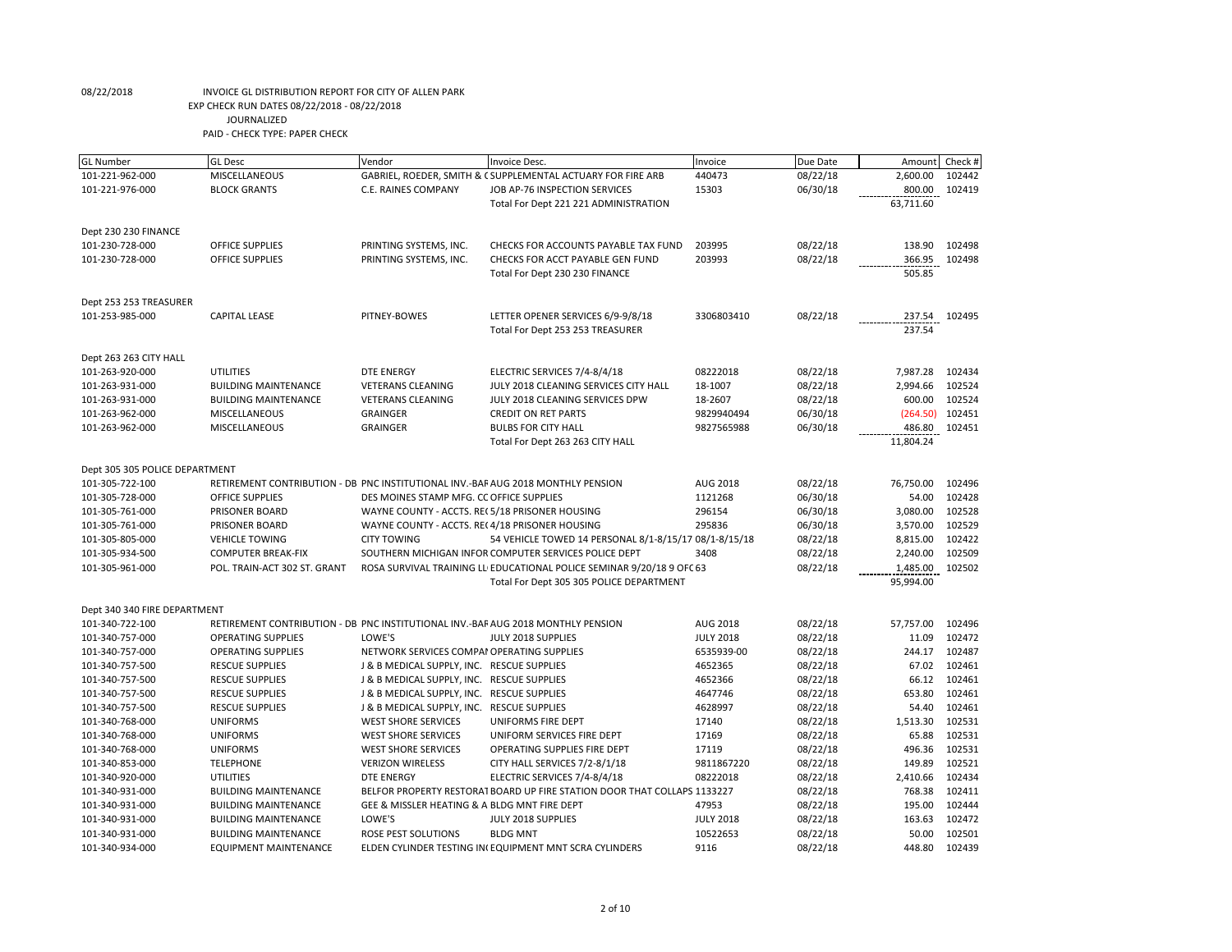| <b>GL Number</b>                   | <b>GL</b> Desc                                                                   | Vendor                                                   | Invoice Desc.                                                            | Invoice                        | Due Date             | Amount             | Check #          |
|------------------------------------|----------------------------------------------------------------------------------|----------------------------------------------------------|--------------------------------------------------------------------------|--------------------------------|----------------------|--------------------|------------------|
| 101-221-962-000                    | MISCELLANEOUS                                                                    |                                                          | GABRIEL, ROEDER, SMITH & C SUPPLEMENTAL ACTUARY FOR FIRE ARB             | 440473                         | 08/22/18             | 2,600.00           | 102442           |
| 101-221-976-000                    | <b>BLOCK GRANTS</b>                                                              | C.E. RAINES COMPANY                                      | JOB AP-76 INSPECTION SERVICES                                            | 15303                          | 06/30/18             | 800.00             | 102419           |
|                                    |                                                                                  |                                                          | Total For Dept 221 221 ADMINISTRATION                                    |                                |                      | 63,711.60          |                  |
|                                    |                                                                                  |                                                          |                                                                          |                                |                      |                    |                  |
| Dept 230 230 FINANCE               |                                                                                  |                                                          |                                                                          |                                |                      |                    |                  |
| 101-230-728-000                    | <b>OFFICE SUPPLIES</b>                                                           | PRINTING SYSTEMS, INC.                                   | CHECKS FOR ACCOUNTS PAYABLE TAX FUND                                     | 203995                         | 08/22/18             | 138.90             | 102498           |
| 101-230-728-000                    | OFFICE SUPPLIES                                                                  | PRINTING SYSTEMS, INC.                                   | CHECKS FOR ACCT PAYABLE GEN FUND                                         | 203993                         | 08/22/18             | 366.95             | 102498           |
|                                    |                                                                                  |                                                          | Total For Dept 230 230 FINANCE                                           |                                |                      | 505.85             |                  |
|                                    |                                                                                  |                                                          |                                                                          |                                |                      |                    |                  |
| Dept 253 253 TREASURER             |                                                                                  |                                                          |                                                                          |                                |                      |                    |                  |
| 101-253-985-000                    | <b>CAPITAL LEASE</b>                                                             | PITNEY-BOWES                                             | LETTER OPENER SERVICES 6/9-9/8/18                                        | 3306803410                     | 08/22/18             | 237.54             | 102495           |
|                                    |                                                                                  |                                                          | Total For Dept 253 253 TREASURER                                         |                                |                      | 237.54             |                  |
| Dept 263 263 CITY HALL             |                                                                                  |                                                          |                                                                          |                                |                      |                    |                  |
| 101-263-920-000                    | <b>UTILITIES</b>                                                                 | <b>DTE ENERGY</b>                                        | ELECTRIC SERVICES 7/4-8/4/18                                             | 08222018                       | 08/22/18             | 7,987.28           | 102434           |
| 101-263-931-000                    | <b>BUILDING MAINTENANCE</b>                                                      | <b>VETERANS CLEANING</b>                                 | JULY 2018 CLEANING SERVICES CITY HALL                                    | 18-1007                        | 08/22/18             | 2,994.66           | 102524           |
| 101-263-931-000                    | <b>BUILDING MAINTENANCE</b>                                                      | <b>VETERANS CLEANING</b>                                 | JULY 2018 CLEANING SERVICES DPW                                          | 18-2607                        | 08/22/18             | 600.00             | 102524           |
| 101-263-962-000                    | MISCELLANEOUS                                                                    | <b>GRAINGER</b>                                          | <b>CREDIT ON RET PARTS</b>                                               | 9829940494                     | 06/30/18             | (264.50)           | 102451           |
| 101-263-962-000                    | MISCELLANEOUS                                                                    | <b>GRAINGER</b>                                          | <b>BULBS FOR CITY HALL</b>                                               | 9827565988                     | 06/30/18             | 486.80             | 102451           |
|                                    |                                                                                  |                                                          | Total For Dept 263 263 CITY HALL                                         |                                |                      | 11,804.24          |                  |
|                                    |                                                                                  |                                                          |                                                                          |                                |                      |                    |                  |
| Dept 305 305 POLICE DEPARTMENT     |                                                                                  |                                                          |                                                                          |                                |                      |                    |                  |
| 101-305-722-100                    | RETIREMENT CONTRIBUTION - DB PNC INSTITUTIONAL INV.-BAF AUG 2018 MONTHLY PENSION |                                                          |                                                                          | <b>AUG 2018</b>                | 08/22/18             | 76,750.00          | 102496           |
| 101-305-728-000                    | <b>OFFICE SUPPLIES</b>                                                           | DES MOINES STAMP MFG. CC OFFICE SUPPLIES                 |                                                                          | 1121268                        | 06/30/18             | 54.00              | 102428           |
| 101-305-761-000                    | PRISONER BOARD                                                                   | WAYNE COUNTY - ACCTS. REC 5/18 PRISONER HOUSING          |                                                                          | 296154                         | 06/30/18             | 3,080.00           | 102528           |
| 101-305-761-000                    | <b>PRISONER BOARD</b>                                                            | WAYNE COUNTY - ACCTS. REC4/18 PRISONER HOUSING           |                                                                          | 295836                         | 06/30/18             | 3,570.00           | 102529           |
| 101-305-805-000                    | <b>VEHICLE TOWING</b>                                                            | <b>CITY TOWING</b>                                       | 54 VEHICLE TOWED 14 PERSONAL 8/1-8/15/17 08/1-8/15/18                    |                                | 08/22/18             | 8,815.00           | 102422           |
| 101-305-934-500                    | <b>COMPUTER BREAK-FIX</b>                                                        |                                                          | SOUTHERN MICHIGAN INFOR COMPUTER SERVICES POLICE DEPT                    | 3408                           | 08/22/18             | 2,240.00           | 102509           |
| 101-305-961-000                    | POL. TRAIN-ACT 302 ST. GRANT                                                     |                                                          | ROSA SURVIVAL TRAINING LL EDUCATIONAL POLICE SEMINAR 9/20/18 9 OFC 63    |                                | 08/22/18             | 1,485.00           | 102502           |
|                                    |                                                                                  |                                                          | Total For Dept 305 305 POLICE DEPARTMENT                                 |                                |                      | 95,994.00          |                  |
|                                    |                                                                                  |                                                          |                                                                          |                                |                      |                    |                  |
| Dept 340 340 FIRE DEPARTMENT       |                                                                                  |                                                          |                                                                          |                                |                      |                    | 102496           |
| 101-340-722-100                    | RETIREMENT CONTRIBUTION - DB PNC INSTITUTIONAL INV.-BAF AUG 2018 MONTHLY PENSION | LOWE'S                                                   |                                                                          | AUG 2018                       | 08/22/18             | 57,757.00<br>11.09 | 102472           |
| 101-340-757-000                    | <b>OPERATING SUPPLIES</b><br><b>OPERATING SUPPLIES</b>                           |                                                          | JULY 2018 SUPPLIES                                                       | <b>JULY 2018</b><br>6535939-00 | 08/22/18             |                    | 102487           |
| 101-340-757-000                    |                                                                                  | NETWORK SERVICES COMPAI OPERATING SUPPLIES               |                                                                          |                                | 08/22/18             | 244.17             |                  |
| 101-340-757-500                    | <b>RESCUE SUPPLIES</b>                                                           | J & B MEDICAL SUPPLY, INC. RESCUE SUPPLIES               |                                                                          | 4652365                        | 08/22/18             | 67.02              | 102461<br>102461 |
| 101-340-757-500                    | <b>RESCUE SUPPLIES</b>                                                           | J & B MEDICAL SUPPLY, INC. RESCUE SUPPLIES               |                                                                          | 4652366<br>4647746             | 08/22/18             | 66.12<br>653.80    | 102461           |
| 101-340-757-500                    | <b>RESCUE SUPPLIES</b>                                                           | J & B MEDICAL SUPPLY, INC. RESCUE SUPPLIES               |                                                                          | 4628997                        | 08/22/18             | 54.40              | 102461           |
| 101-340-757-500                    | <b>RESCUE SUPPLIES</b>                                                           | J & B MEDICAL SUPPLY, INC. RESCUE SUPPLIES               |                                                                          |                                | 08/22/18             | 1,513.30           | 102531           |
| 101-340-768-000<br>101-340-768-000 | <b>UNIFORMS</b><br><b>UNIFORMS</b>                                               | <b>WEST SHORE SERVICES</b><br><b>WEST SHORE SERVICES</b> | UNIFORMS FIRE DEPT<br>UNIFORM SERVICES FIRE DEPT                         | 17140<br>17169                 | 08/22/18<br>08/22/18 | 65.88              | 102531           |
| 101-340-768-000                    | <b>UNIFORMS</b>                                                                  | <b>WEST SHORE SERVICES</b>                               | OPERATING SUPPLIES FIRE DEPT                                             | 17119                          | 08/22/18             | 496.36             | 102531           |
|                                    | <b>TELEPHONE</b>                                                                 | <b>VERIZON WIRELESS</b>                                  |                                                                          | 9811867220                     |                      | 149.89             | 102521           |
| 101-340-853-000<br>101-340-920-000 | <b>UTILITIES</b>                                                                 | <b>DTE ENERGY</b>                                        | CITY HALL SERVICES 7/2-8/1/18<br>ELECTRIC SERVICES 7/4-8/4/18            | 08222018                       | 08/22/18<br>08/22/18 | 2,410.66           | 102434           |
| 101-340-931-000                    | <b>BUILDING MAINTENANCE</b>                                                      |                                                          | BELFOR PROPERTY RESTORAT BOARD UP FIRE STATION DOOR THAT COLLAPS 1133227 |                                | 08/22/18             | 768.38             | 102411           |
| 101-340-931-000                    | <b>BUILDING MAINTENANCE</b>                                                      | GEE & MISSLER HEATING & A BLDG MNT FIRE DEPT             |                                                                          | 47953                          | 08/22/18             | 195.00             | 102444           |
| 101-340-931-000                    | <b>BUILDING MAINTENANCE</b>                                                      | LOWE'S                                                   | JULY 2018 SUPPLIES                                                       | <b>JULY 2018</b>               | 08/22/18             | 163.63             | 102472           |
| 101-340-931-000                    | <b>BUILDING MAINTENANCE</b>                                                      | ROSE PEST SOLUTIONS                                      | <b>BLDG MNT</b>                                                          | 10522653                       | 08/22/18             | 50.00              | 102501           |
| 101-340-934-000                    | <b>EQUIPMENT MAINTENANCE</b>                                                     |                                                          | ELDEN CYLINDER TESTING IN(EQUIPMENT MNT SCRA CYLINDERS                   | 9116                           | 08/22/18             | 448.80             | 102439           |
|                                    |                                                                                  |                                                          |                                                                          |                                |                      |                    |                  |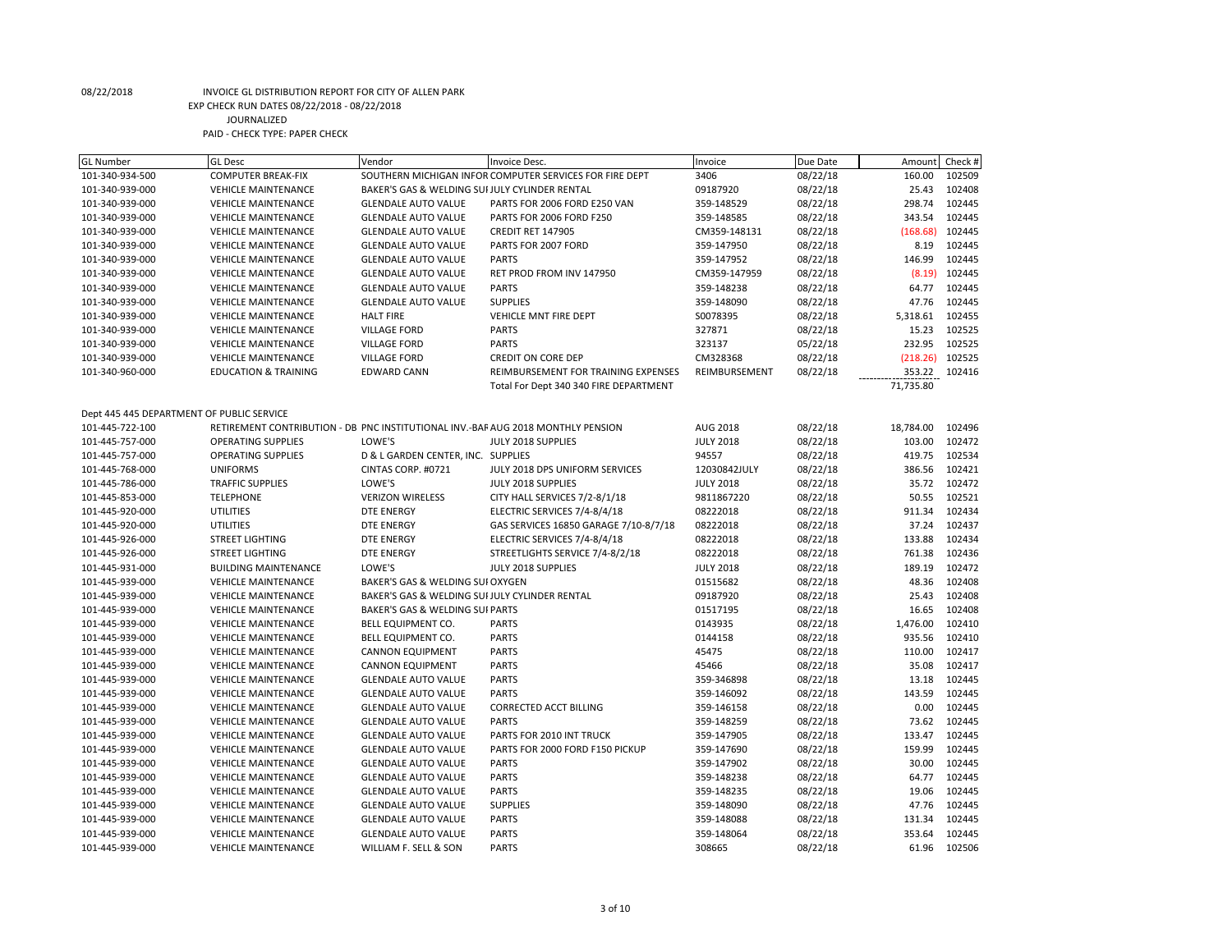| <b>GL Number</b>                          | <b>GL Desc</b>                                                                   | Vendor                                         | Invoice Desc.                                           | Invoice          | Due Date | Amount    | Check # |
|-------------------------------------------|----------------------------------------------------------------------------------|------------------------------------------------|---------------------------------------------------------|------------------|----------|-----------|---------|
| 101-340-934-500                           | <b>COMPUTER BREAK-FIX</b>                                                        |                                                | SOUTHERN MICHIGAN INFOR COMPUTER SERVICES FOR FIRE DEPT | 3406             | 08/22/18 | 160.00    | 102509  |
| 101-340-939-000                           | <b>VEHICLE MAINTENANCE</b>                                                       | BAKER'S GAS & WELDING SUI JULY CYLINDER RENTAL |                                                         | 09187920         | 08/22/18 | 25.43     | 102408  |
| 101-340-939-000                           | <b>VEHICLE MAINTENANCE</b>                                                       | <b>GLENDALE AUTO VALUE</b>                     | PARTS FOR 2006 FORD E250 VAN                            | 359-148529       | 08/22/18 | 298.74    | 102445  |
| 101-340-939-000                           | <b>VEHICLE MAINTENANCE</b>                                                       | <b>GLENDALE AUTO VALUE</b>                     | PARTS FOR 2006 FORD F250                                | 359-148585       | 08/22/18 | 343.54    | 102445  |
| 101-340-939-000                           | <b>VEHICLE MAINTENANCE</b>                                                       | <b>GLENDALE AUTO VALUE</b>                     | CREDIT RET 147905                                       | CM359-148131     | 08/22/18 | (168.68)  | 102445  |
| 101-340-939-000                           | <b>VEHICLE MAINTENANCE</b>                                                       | <b>GLENDALE AUTO VALUE</b>                     | PARTS FOR 2007 FORD                                     | 359-147950       | 08/22/18 | 8.19      | 102445  |
| 101-340-939-000                           | <b>VEHICLE MAINTENANCE</b>                                                       | <b>GLENDALE AUTO VALUE</b>                     | <b>PARTS</b>                                            | 359-147952       | 08/22/18 | 146.99    | 102445  |
| 101-340-939-000                           | <b>VEHICLE MAINTENANCE</b>                                                       | <b>GLENDALE AUTO VALUE</b>                     | RET PROD FROM INV 147950                                | CM359-147959     | 08/22/18 | (8.19)    | 102445  |
| 101-340-939-000                           | <b>VEHICLE MAINTENANCE</b>                                                       | <b>GLENDALE AUTO VALUE</b>                     | <b>PARTS</b>                                            | 359-148238       | 08/22/18 | 64.77     | 102445  |
| 101-340-939-000                           | <b>VEHICLE MAINTENANCE</b>                                                       | <b>GLENDALE AUTO VALUE</b>                     | <b>SUPPLIES</b>                                         | 359-148090       | 08/22/18 | 47.76     | 102445  |
| 101-340-939-000                           | <b>VEHICLE MAINTENANCE</b>                                                       | <b>HALT FIRE</b>                               | VEHICLE MNT FIRE DEPT                                   | S0078395         | 08/22/18 | 5,318.61  | 102455  |
| 101-340-939-000                           | <b>VEHICLE MAINTENANCE</b>                                                       | <b>VILLAGE FORD</b>                            | <b>PARTS</b>                                            | 327871           | 08/22/18 | 15.23     | 102525  |
| 101-340-939-000                           | <b>VEHICLE MAINTENANCE</b>                                                       | <b>VILLAGE FORD</b>                            | <b>PARTS</b>                                            | 323137           | 05/22/18 | 232.95    | 102525  |
| 101-340-939-000                           | <b>VEHICLE MAINTENANCE</b>                                                       | <b>VILLAGE FORD</b>                            | <b>CREDIT ON CORE DEP</b>                               | CM328368         | 08/22/18 | (218.26)  | 102525  |
| 101-340-960-000                           | <b>EDUCATION &amp; TRAINING</b>                                                  | <b>EDWARD CANN</b>                             | REIMBURSEMENT FOR TRAINING EXPENSES                     | REIMBURSEMENT    | 08/22/18 | 353.22    | 102416  |
|                                           |                                                                                  |                                                | Total For Dept 340 340 FIRE DEPARTMENT                  |                  |          | 71,735.80 |         |
|                                           |                                                                                  |                                                |                                                         |                  |          |           |         |
| Dept 445 445 DEPARTMENT OF PUBLIC SERVICE |                                                                                  |                                                |                                                         |                  |          |           |         |
| 101-445-722-100                           | RETIREMENT CONTRIBUTION - DB PNC INSTITUTIONAL INV.-BAF AUG 2018 MONTHLY PENSION |                                                |                                                         | <b>AUG 2018</b>  | 08/22/18 | 18,784.00 | 102496  |
| 101-445-757-000                           | <b>OPERATING SUPPLIES</b>                                                        | LOWE'S                                         | JULY 2018 SUPPLIES                                      | <b>JULY 2018</b> | 08/22/18 | 103.00    | 102472  |
| 101-445-757-000                           | <b>OPERATING SUPPLIES</b>                                                        | D & L GARDEN CENTER, INC. SUPPLIES             |                                                         | 94557            | 08/22/18 | 419.75    | 102534  |
| 101-445-768-000                           | <b>UNIFORMS</b>                                                                  | CINTAS CORP. #0721                             | JULY 2018 DPS UNIFORM SERVICES                          | 12030842JULY     | 08/22/18 | 386.56    | 102421  |
| 101-445-786-000                           | <b>TRAFFIC SUPPLIES</b>                                                          | LOWE'S                                         | JULY 2018 SUPPLIES                                      | <b>JULY 2018</b> | 08/22/18 | 35.72     | 102472  |
| 101-445-853-000                           | <b>TELEPHONE</b>                                                                 | <b>VERIZON WIRELESS</b>                        | CITY HALL SERVICES 7/2-8/1/18                           | 9811867220       | 08/22/18 | 50.55     | 102521  |
| 101-445-920-000                           | <b>UTILITIES</b>                                                                 | <b>DTE ENERGY</b>                              | ELECTRIC SERVICES 7/4-8/4/18                            | 08222018         | 08/22/18 | 911.34    | 102434  |
| 101-445-920-000                           | <b>UTILITIES</b>                                                                 | <b>DTE ENERGY</b>                              | GAS SERVICES 16850 GARAGE 7/10-8/7/18                   | 08222018         | 08/22/18 | 37.24     | 102437  |
| 101-445-926-000                           | <b>STREET LIGHTING</b>                                                           | <b>DTE ENERGY</b>                              | ELECTRIC SERVICES 7/4-8/4/18                            | 08222018         | 08/22/18 | 133.88    | 102434  |
| 101-445-926-000                           | <b>STREET LIGHTING</b>                                                           | <b>DTE ENERGY</b>                              | STREETLIGHTS SERVICE 7/4-8/2/18                         | 08222018         | 08/22/18 | 761.38    | 102436  |
| 101-445-931-000                           | <b>BUILDING MAINTENANCE</b>                                                      | LOWE'S                                         | JULY 2018 SUPPLIES                                      | <b>JULY 2018</b> | 08/22/18 | 189.19    | 102472  |
| 101-445-939-000                           | <b>VEHICLE MAINTENANCE</b>                                                       | BAKER'S GAS & WELDING SUI OXYGEN               |                                                         | 01515682         | 08/22/18 | 48.36     | 102408  |
| 101-445-939-000                           | <b>VEHICLE MAINTENANCE</b>                                                       | BAKER'S GAS & WELDING SUI JULY CYLINDER RENTAL |                                                         | 09187920         | 08/22/18 | 25.43     | 102408  |
|                                           |                                                                                  |                                                |                                                         |                  |          |           | 102408  |
| 101-445-939-000                           | <b>VEHICLE MAINTENANCE</b>                                                       | BAKER'S GAS & WELDING SUI PARTS                |                                                         | 01517195         | 08/22/18 | 16.65     |         |
| 101-445-939-000                           | <b>VEHICLE MAINTENANCE</b>                                                       | BELL EQUIPMENT CO.                             | <b>PARTS</b>                                            | 0143935          | 08/22/18 | 1,476.00  | 102410  |
| 101-445-939-000                           | <b>VEHICLE MAINTENANCE</b>                                                       | BELL EQUIPMENT CO.                             | <b>PARTS</b>                                            | 0144158          | 08/22/18 | 935.56    | 102410  |
| 101-445-939-000                           | <b>VEHICLE MAINTENANCE</b>                                                       | <b>CANNON EQUIPMENT</b>                        | <b>PARTS</b>                                            | 45475            | 08/22/18 | 110.00    | 102417  |
| 101-445-939-000                           | <b>VEHICLE MAINTENANCE</b>                                                       | <b>CANNON EQUIPMENT</b>                        | <b>PARTS</b>                                            | 45466            | 08/22/18 | 35.08     | 102417  |
| 101-445-939-000                           | <b>VEHICLE MAINTENANCE</b>                                                       | <b>GLENDALE AUTO VALUE</b>                     | <b>PARTS</b>                                            | 359-346898       | 08/22/18 | 13.18     | 102445  |
| 101-445-939-000                           | <b>VEHICLE MAINTENANCE</b>                                                       | <b>GLENDALE AUTO VALUE</b>                     | <b>PARTS</b>                                            | 359-146092       | 08/22/18 | 143.59    | 102445  |
| 101-445-939-000                           | <b>VEHICLE MAINTENANCE</b>                                                       | <b>GLENDALE AUTO VALUE</b>                     | <b>CORRECTED ACCT BILLING</b>                           | 359-146158       | 08/22/18 | 0.00      | 102445  |
| 101-445-939-000                           | <b>VEHICLE MAINTENANCE</b>                                                       | <b>GLENDALE AUTO VALUE</b>                     | <b>PARTS</b>                                            | 359-148259       | 08/22/18 | 73.62     | 102445  |
| 101-445-939-000                           | <b>VEHICLE MAINTENANCE</b>                                                       | <b>GLENDALE AUTO VALUE</b>                     | PARTS FOR 2010 INT TRUCK                                | 359-147905       | 08/22/18 | 133.47    | 102445  |
| 101-445-939-000                           | <b>VEHICLE MAINTENANCE</b>                                                       | <b>GLENDALE AUTO VALUE</b>                     | PARTS FOR 2000 FORD F150 PICKUP                         | 359-147690       | 08/22/18 | 159.99    | 102445  |
| 101-445-939-000                           | <b>VEHICLE MAINTENANCE</b>                                                       | <b>GLENDALE AUTO VALUE</b>                     | <b>PARTS</b>                                            | 359-147902       | 08/22/18 | 30.00     | 102445  |
| 101-445-939-000                           | <b>VEHICLE MAINTENANCE</b>                                                       | <b>GLENDALE AUTO VALUE</b>                     | <b>PARTS</b>                                            | 359-148238       | 08/22/18 | 64.77     | 102445  |
| 101-445-939-000                           | <b>VEHICLE MAINTENANCE</b>                                                       | <b>GLENDALE AUTO VALUE</b>                     | <b>PARTS</b>                                            | 359-148235       | 08/22/18 | 19.06     | 102445  |
| 101-445-939-000                           | <b>VEHICLE MAINTENANCE</b>                                                       | <b>GLENDALE AUTO VALUE</b>                     | <b>SUPPLIES</b>                                         | 359-148090       | 08/22/18 | 47.76     | 102445  |
| 101-445-939-000                           | <b>VEHICLE MAINTENANCE</b>                                                       | <b>GLENDALE AUTO VALUE</b>                     | <b>PARTS</b>                                            | 359-148088       | 08/22/18 | 131.34    | 102445  |
| 101-445-939-000                           | <b>VEHICLE MAINTENANCE</b>                                                       | <b>GLENDALE AUTO VALUE</b>                     | <b>PARTS</b>                                            | 359-148064       | 08/22/18 | 353.64    | 102445  |
| 101-445-939-000                           | <b>VEHICLE MAINTENANCE</b>                                                       | WILLIAM F. SELL & SON                          | <b>PARTS</b>                                            | 308665           | 08/22/18 | 61.96     | 102506  |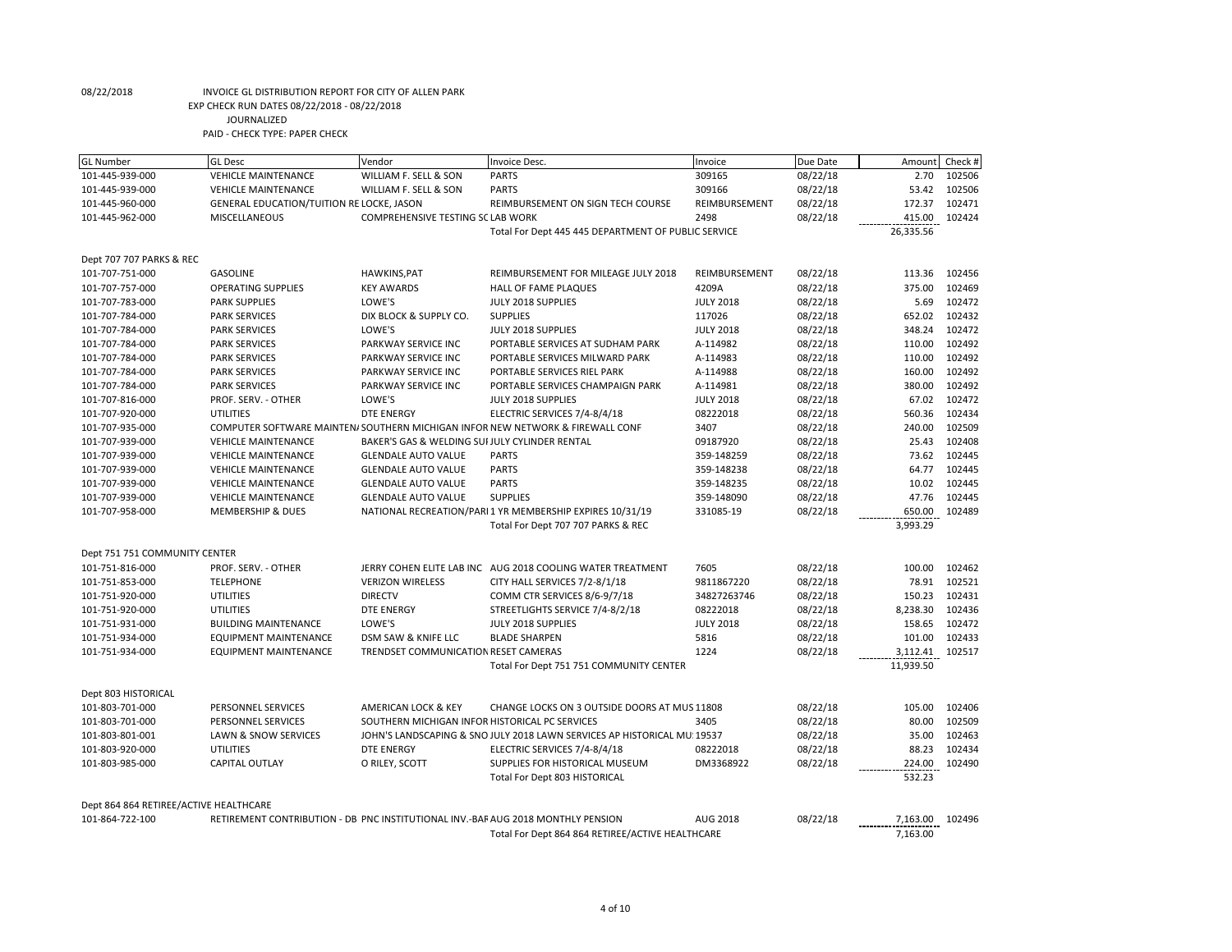| <b>GL Number</b>                       | <b>GL Desc</b>                                                                   | Vendor                                         | Invoice Desc.                                                                  | Invoice          | Due Date | Amount    | Check # |
|----------------------------------------|----------------------------------------------------------------------------------|------------------------------------------------|--------------------------------------------------------------------------------|------------------|----------|-----------|---------|
| 101-445-939-000                        | <b>VEHICLE MAINTENANCE</b>                                                       | WILLIAM F. SELL & SON                          | <b>PARTS</b>                                                                   | 309165           | 08/22/18 | 2.70      | 102506  |
| 101-445-939-000                        | <b>VEHICLE MAINTENANCE</b>                                                       | WILLIAM F. SELL & SON                          | <b>PARTS</b>                                                                   | 309166           | 08/22/18 | 53.42     | 102506  |
| 101-445-960-000                        | GENERAL EDUCATION/TUITION RE LOCKE, JASON                                        |                                                | REIMBURSEMENT ON SIGN TECH COURSE                                              | REIMBURSEMENT    | 08/22/18 | 172.37    | 102471  |
| 101-445-962-000                        | MISCELLANEOUS                                                                    | COMPREHENSIVE TESTING SC LAB WORK              |                                                                                | 2498             | 08/22/18 | 415.00    | 102424  |
|                                        |                                                                                  |                                                | Total For Dept 445 445 DEPARTMENT OF PUBLIC SERVICE                            |                  |          | 26,335.56 |         |
|                                        |                                                                                  |                                                |                                                                                |                  |          |           |         |
| Dept 707 707 PARKS & REC               |                                                                                  |                                                |                                                                                |                  |          |           |         |
| 101-707-751-000                        | <b>GASOLINE</b>                                                                  | <b>HAWKINS, PAT</b>                            | REIMBURSEMENT FOR MILEAGE JULY 2018                                            | REIMBURSEMENT    | 08/22/18 | 113.36    | 102456  |
| 101-707-757-000                        | <b>OPERATING SUPPLIES</b>                                                        | <b>KEY AWARDS</b>                              | HALL OF FAME PLAQUES                                                           | 4209A            | 08/22/18 | 375.00    | 102469  |
| 101-707-783-000                        | <b>PARK SUPPLIES</b>                                                             | LOWE'S                                         | JULY 2018 SUPPLIES                                                             | <b>JULY 2018</b> | 08/22/18 | 5.69      | 102472  |
| 101-707-784-000                        | <b>PARK SERVICES</b>                                                             | DIX BLOCK & SUPPLY CO.                         | <b>SUPPLIES</b>                                                                | 117026           | 08/22/18 | 652.02    | 102432  |
| 101-707-784-000                        | <b>PARK SERVICES</b>                                                             | LOWE'S                                         | JULY 2018 SUPPLIES                                                             | <b>JULY 2018</b> | 08/22/18 | 348.24    | 102472  |
| 101-707-784-000                        | <b>PARK SERVICES</b>                                                             | PARKWAY SERVICE INC                            | PORTABLE SERVICES AT SUDHAM PARK                                               | A-114982         | 08/22/18 | 110.00    | 102492  |
| 101-707-784-000                        | <b>PARK SERVICES</b>                                                             | PARKWAY SERVICE INC                            | PORTABLE SERVICES MILWARD PARK                                                 | A-114983         | 08/22/18 | 110.00    | 102492  |
| 101-707-784-000                        | <b>PARK SERVICES</b>                                                             | PARKWAY SERVICE INC                            | PORTABLE SERVICES RIEL PARK                                                    | A-114988         | 08/22/18 | 160.00    | 102492  |
| 101-707-784-000                        | <b>PARK SERVICES</b>                                                             | PARKWAY SERVICE INC                            | PORTABLE SERVICES CHAMPAIGN PARK                                               | A-114981         | 08/22/18 | 380.00    | 102492  |
| 101-707-816-000                        | PROF. SERV. - OTHER                                                              | LOWE'S                                         | JULY 2018 SUPPLIES                                                             | <b>JULY 2018</b> | 08/22/18 | 67.02     | 102472  |
| 101-707-920-000                        | <b>UTILITIES</b>                                                                 | <b>DTE ENERGY</b>                              | ELECTRIC SERVICES 7/4-8/4/18                                                   | 08222018         | 08/22/18 | 560.36    | 102434  |
| 101-707-935-000                        |                                                                                  |                                                | COMPUTER SOFTWARE MAINTEN/ SOUTHERN MICHIGAN INFOR NEW NETWORK & FIREWALL CONF | 3407             | 08/22/18 | 240.00    | 102509  |
| 101-707-939-000                        | <b>VEHICLE MAINTENANCE</b>                                                       | BAKER'S GAS & WELDING SUI JULY CYLINDER RENTAL |                                                                                | 09187920         | 08/22/18 | 25.43     | 102408  |
| 101-707-939-000                        | <b>VEHICLE MAINTENANCE</b>                                                       | <b>GLENDALE AUTO VALUE</b>                     | <b>PARTS</b>                                                                   | 359-148259       | 08/22/18 | 73.62     | 102445  |
| 101-707-939-000                        | <b>VEHICLE MAINTENANCE</b>                                                       | <b>GLENDALE AUTO VALUE</b>                     | <b>PARTS</b>                                                                   | 359-148238       | 08/22/18 | 64.77     | 102445  |
| 101-707-939-000                        | <b>VEHICLE MAINTENANCE</b>                                                       | <b>GLENDALE AUTO VALUE</b>                     | <b>PARTS</b>                                                                   | 359-148235       | 08/22/18 | 10.02     | 102445  |
| 101-707-939-000                        | <b>VEHICLE MAINTENANCE</b>                                                       | <b>GLENDALE AUTO VALUE</b>                     | <b>SUPPLIES</b>                                                                | 359-148090       | 08/22/18 | 47.76     | 102445  |
| 101-707-958-000                        | <b>MEMBERSHIP &amp; DUES</b>                                                     |                                                | NATIONAL RECREATION/PARI 1 YR MEMBERSHIP EXPIRES 10/31/19                      | 331085-19        | 08/22/18 | 650.00    | 102489  |
|                                        |                                                                                  |                                                | Total For Dept 707 707 PARKS & REC                                             |                  |          | 3,993.29  |         |
|                                        |                                                                                  |                                                |                                                                                |                  |          |           |         |
| Dept 751 751 COMMUNITY CENTER          |                                                                                  |                                                |                                                                                |                  |          |           |         |
| 101-751-816-000                        | PROF. SERV. - OTHER                                                              |                                                | JERRY COHEN ELITE LAB INC AUG 2018 COOLING WATER TREATMENT                     | 7605             | 08/22/18 | 100.00    | 102462  |
| 101-751-853-000                        | <b>TELEPHONE</b>                                                                 | <b>VERIZON WIRELESS</b>                        | CITY HALL SERVICES 7/2-8/1/18                                                  | 9811867220       | 08/22/18 | 78.91     | 102521  |
| 101-751-920-000                        | <b>UTILITIES</b>                                                                 | <b>DIRECTV</b>                                 | COMM CTR SERVICES 8/6-9/7/18                                                   | 34827263746      | 08/22/18 | 150.23    | 102431  |
| 101-751-920-000                        | <b>UTILITIES</b>                                                                 | <b>DTE ENERGY</b>                              | STREETLIGHTS SERVICE 7/4-8/2/18                                                | 08222018         | 08/22/18 | 8,238.30  | 102436  |
| 101-751-931-000                        | <b>BUILDING MAINTENANCE</b>                                                      | LOWE'S                                         | JULY 2018 SUPPLIES                                                             | <b>JULY 2018</b> | 08/22/18 | 158.65    | 102472  |
| 101-751-934-000                        | <b>EQUIPMENT MAINTENANCE</b>                                                     | DSM SAW & KNIFE LLC                            | <b>BLADE SHARPEN</b>                                                           | 5816             | 08/22/18 | 101.00    | 102433  |
| 101-751-934-000                        | <b>EQUIPMENT MAINTENANCE</b>                                                     | TRENDSET COMMUNICATION RESET CAMERAS           |                                                                                | 1224             | 08/22/18 | 3,112.41  | 102517  |
|                                        |                                                                                  |                                                | Total For Dept 751 751 COMMUNITY CENTER                                        |                  |          | 11,939.50 |         |
|                                        |                                                                                  |                                                |                                                                                |                  |          |           |         |
| Dept 803 HISTORICAL                    |                                                                                  |                                                |                                                                                |                  |          |           |         |
| 101-803-701-000                        | PERSONNEL SERVICES                                                               | AMERICAN LOCK & KEY                            | CHANGE LOCKS ON 3 OUTSIDE DOORS AT MUS 11808                                   |                  | 08/22/18 | 105.00    | 102406  |
| 101-803-701-000                        | PERSONNEL SERVICES                                                               | SOUTHERN MICHIGAN INFOR HISTORICAL PC SERVICES |                                                                                | 3405             | 08/22/18 | 80.00     | 102509  |
| 101-803-801-001                        | LAWN & SNOW SERVICES                                                             |                                                | JOHN'S LANDSCAPING & SNO JULY 2018 LAWN SERVICES AP HISTORICAL MU. 19537       |                  | 08/22/18 | 35.00     | 102463  |
| 101-803-920-000                        | <b>UTILITIES</b>                                                                 | <b>DTE ENERGY</b>                              | ELECTRIC SERVICES 7/4-8/4/18                                                   | 08222018         | 08/22/18 | 88.23     | 102434  |
| 101-803-985-000                        | <b>CAPITAL OUTLAY</b>                                                            | O RILEY, SCOTT                                 | SUPPLIES FOR HISTORICAL MUSEUM                                                 | DM3368922        | 08/22/18 | 224.00    | 102490  |
|                                        |                                                                                  |                                                | Total For Dept 803 HISTORICAL                                                  |                  |          | 532.23    |         |
|                                        |                                                                                  |                                                |                                                                                |                  |          |           |         |
| Dept 864 864 RETIREE/ACTIVE HEALTHCARE |                                                                                  |                                                |                                                                                |                  |          |           |         |
| 101-864-722-100                        | RETIREMENT CONTRIBUTION - DB PNC INSTITUTIONAL INV.-BAF AUG 2018 MONTHLY PENSION |                                                |                                                                                | AUG 2018         | 08/22/18 | 7,163.00  | 102496  |
|                                        |                                                                                  |                                                | Total For Dept 864 864 RETIREE/ACTIVE HEALTHCARE                               |                  |          | 7,163.00  |         |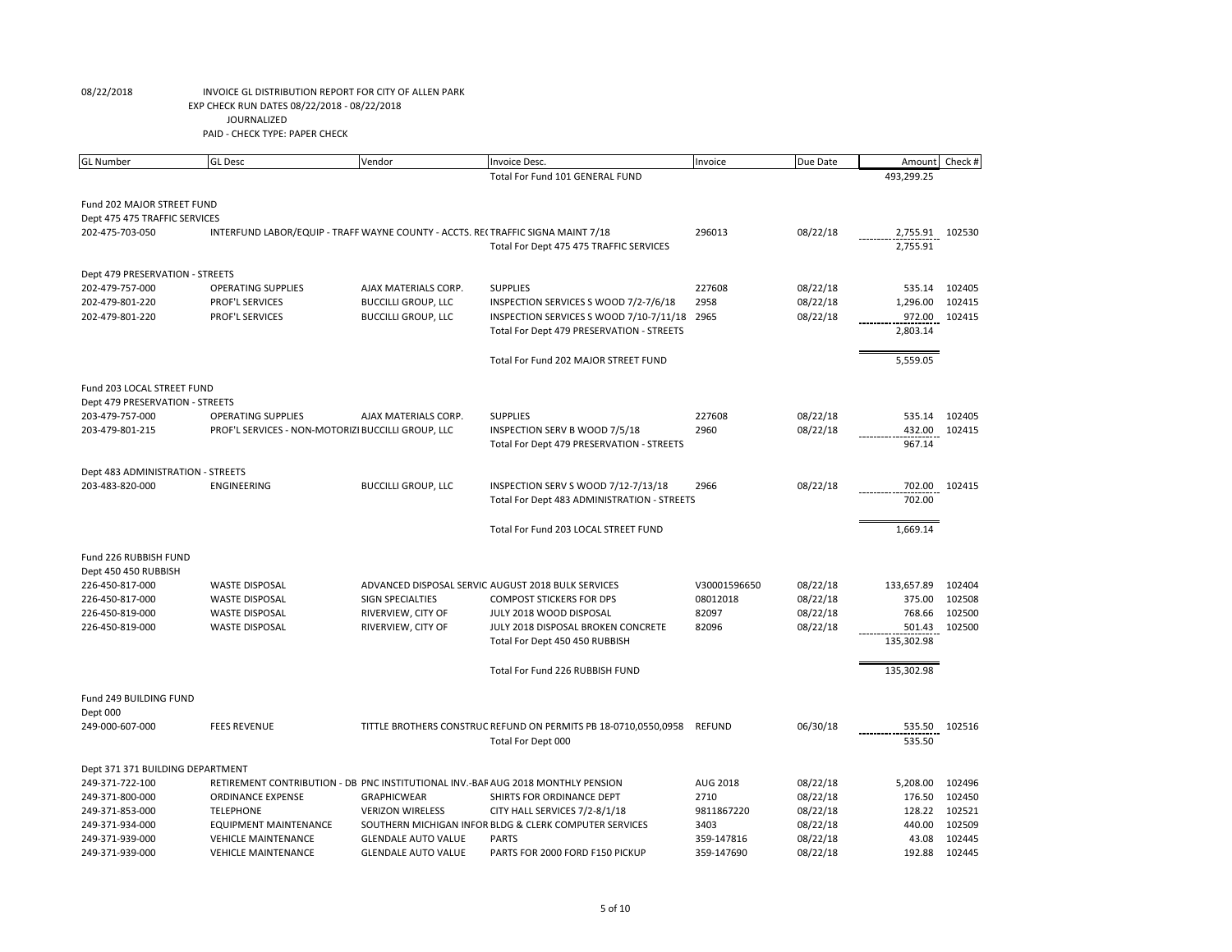| <b>GL Number</b>                  | <b>GL</b> Desc                                                                   | Vendor                     | Invoice Desc.                                                   | Invoice       | Due Date | Amount     | Check # |
|-----------------------------------|----------------------------------------------------------------------------------|----------------------------|-----------------------------------------------------------------|---------------|----------|------------|---------|
|                                   |                                                                                  |                            | Total For Fund 101 GENERAL FUND                                 |               |          | 493,299.25 |         |
|                                   |                                                                                  |                            |                                                                 |               |          |            |         |
| Fund 202 MAJOR STREET FUND        |                                                                                  |                            |                                                                 |               |          |            |         |
| Dept 475 475 TRAFFIC SERVICES     |                                                                                  |                            |                                                                 |               |          |            |         |
| 202-475-703-050                   | INTERFUND LABOR/EQUIP - TRAFF WAYNE COUNTY - ACCTS. RECTRAFFIC SIGNA MAINT 7/18  |                            |                                                                 | 296013        | 08/22/18 | 2,755.91   | 102530  |
|                                   |                                                                                  |                            | Total For Dept 475 475 TRAFFIC SERVICES                         |               |          | 2,755.91   |         |
|                                   |                                                                                  |                            |                                                                 |               |          |            |         |
| Dept 479 PRESERVATION - STREETS   |                                                                                  |                            |                                                                 |               |          |            |         |
| 202-479-757-000                   | <b>OPERATING SUPPLIES</b>                                                        | AJAX MATERIALS CORP.       | <b>SUPPLIES</b>                                                 | 227608        | 08/22/18 | 535.14     | 102405  |
| 202-479-801-220                   | PROF'L SERVICES                                                                  | <b>BUCCILLI GROUP, LLC</b> | INSPECTION SERVICES S WOOD 7/2-7/6/18                           | 2958          | 08/22/18 | 1,296.00   | 102415  |
| 202-479-801-220                   | PROF'L SERVICES                                                                  | <b>BUCCILLI GROUP, LLC</b> | INSPECTION SERVICES S WOOD 7/10-7/11/18 2965                    |               | 08/22/18 | 972.00     | 102415  |
|                                   |                                                                                  |                            | Total For Dept 479 PRESERVATION - STREETS                       |               |          | 2,803.14   |         |
|                                   |                                                                                  |                            |                                                                 |               |          |            |         |
|                                   |                                                                                  |                            | Total For Fund 202 MAJOR STREET FUND                            |               |          | 5,559.05   |         |
|                                   |                                                                                  |                            |                                                                 |               |          |            |         |
| Fund 203 LOCAL STREET FUND        |                                                                                  |                            |                                                                 |               |          |            |         |
| Dept 479 PRESERVATION - STREETS   |                                                                                  |                            |                                                                 |               |          |            |         |
| 203-479-757-000                   | <b>OPERATING SUPPLIES</b>                                                        | AJAX MATERIALS CORP.       | <b>SUPPLIES</b>                                                 | 227608        | 08/22/18 | 535.14     | 102405  |
| 203-479-801-215                   | PROF'L SERVICES - NON-MOTORIZI BUCCILLI GROUP, LLC                               |                            | INSPECTION SERV B WOOD 7/5/18                                   | 2960          | 08/22/18 | 432.00     | 102415  |
|                                   |                                                                                  |                            | Total For Dept 479 PRESERVATION - STREETS                       |               |          | 967.14     |         |
| Dept 483 ADMINISTRATION - STREETS |                                                                                  |                            |                                                                 |               |          |            |         |
| 203-483-820-000                   | ENGINEERING                                                                      | <b>BUCCILLI GROUP, LLC</b> | INSPECTION SERV S WOOD 7/12-7/13/18                             | 2966          | 08/22/18 | 702.00     | 102415  |
|                                   |                                                                                  |                            | Total For Dept 483 ADMINISTRATION - STREETS                     |               |          | 702.00     |         |
|                                   |                                                                                  |                            |                                                                 |               |          |            |         |
|                                   |                                                                                  |                            | Total For Fund 203 LOCAL STREET FUND                            |               |          | 1,669.14   |         |
|                                   |                                                                                  |                            |                                                                 |               |          |            |         |
| Fund 226 RUBBISH FUND             |                                                                                  |                            |                                                                 |               |          |            |         |
| Dept 450 450 RUBBISH              |                                                                                  |                            |                                                                 |               |          |            |         |
| 226-450-817-000                   | <b>WASTE DISPOSAL</b>                                                            |                            | ADVANCED DISPOSAL SERVIC AUGUST 2018 BULK SERVICES              | V30001596650  | 08/22/18 | 133,657.89 | 102404  |
| 226-450-817-000                   | <b>WASTE DISPOSAL</b>                                                            | SIGN SPECIALTIES           | <b>COMPOST STICKERS FOR DPS</b>                                 | 08012018      | 08/22/18 | 375.00     | 102508  |
| 226-450-819-000                   | <b>WASTE DISPOSAL</b>                                                            | RIVERVIEW, CITY OF         | JULY 2018 WOOD DISPOSAL                                         | 82097         | 08/22/18 | 768.66     | 102500  |
| 226-450-819-000                   | <b>WASTE DISPOSAL</b>                                                            | RIVERVIEW, CITY OF         | JULY 2018 DISPOSAL BROKEN CONCRETE                              | 82096         | 08/22/18 | 501.43     | 102500  |
|                                   |                                                                                  |                            | Total For Dept 450 450 RUBBISH                                  |               |          | 135,302.98 |         |
|                                   |                                                                                  |                            |                                                                 |               |          |            |         |
|                                   |                                                                                  |                            | Total For Fund 226 RUBBISH FUND                                 |               |          | 135,302.98 |         |
|                                   |                                                                                  |                            |                                                                 |               |          |            |         |
| Fund 249 BUILDING FUND            |                                                                                  |                            |                                                                 |               |          |            |         |
| Dept 000                          |                                                                                  |                            |                                                                 |               |          |            |         |
| 249-000-607-000                   | <b>FEES REVENUE</b>                                                              |                            | TITTLE BROTHERS CONSTRUC REFUND ON PERMITS PB 18-0710,0550,0958 | <b>REFUND</b> | 06/30/18 | 535.50     | 102516  |
|                                   |                                                                                  |                            | Total For Dept 000                                              |               |          | 535.50     |         |
|                                   |                                                                                  |                            |                                                                 |               |          |            |         |
| Dept 371 371 BUILDING DEPARTMENT  |                                                                                  |                            |                                                                 |               |          |            |         |
| 249-371-722-100                   | RETIREMENT CONTRIBUTION - DB PNC INSTITUTIONAL INV.-BAF AUG 2018 MONTHLY PENSION |                            |                                                                 | AUG 2018      | 08/22/18 | 5,208.00   | 102496  |
| 249-371-800-000                   | <b>ORDINANCE EXPENSE</b>                                                         | <b>GRAPHICWEAR</b>         | SHIRTS FOR ORDINANCE DEPT                                       | 2710          | 08/22/18 | 176.50     | 102450  |
| 249-371-853-000                   | <b>TELEPHONE</b>                                                                 | <b>VERIZON WIRELESS</b>    | CITY HALL SERVICES 7/2-8/1/18                                   | 9811867220    | 08/22/18 | 128.22     | 102521  |
| 249-371-934-000                   | <b>EQUIPMENT MAINTENANCE</b>                                                     |                            | SOUTHERN MICHIGAN INFOR BLDG & CLERK COMPUTER SERVICES          | 3403          | 08/22/18 | 440.00     | 102509  |
| 249-371-939-000                   | <b>VEHICLE MAINTENANCE</b>                                                       | <b>GLENDALE AUTO VALUE</b> | <b>PARTS</b>                                                    | 359-147816    | 08/22/18 | 43.08      | 102445  |
| 249-371-939-000                   | <b>VEHICLE MAINTENANCE</b>                                                       | <b>GLENDALE AUTO VALUE</b> | PARTS FOR 2000 FORD F150 PICKUP                                 | 359-147690    | 08/22/18 | 192.88     | 102445  |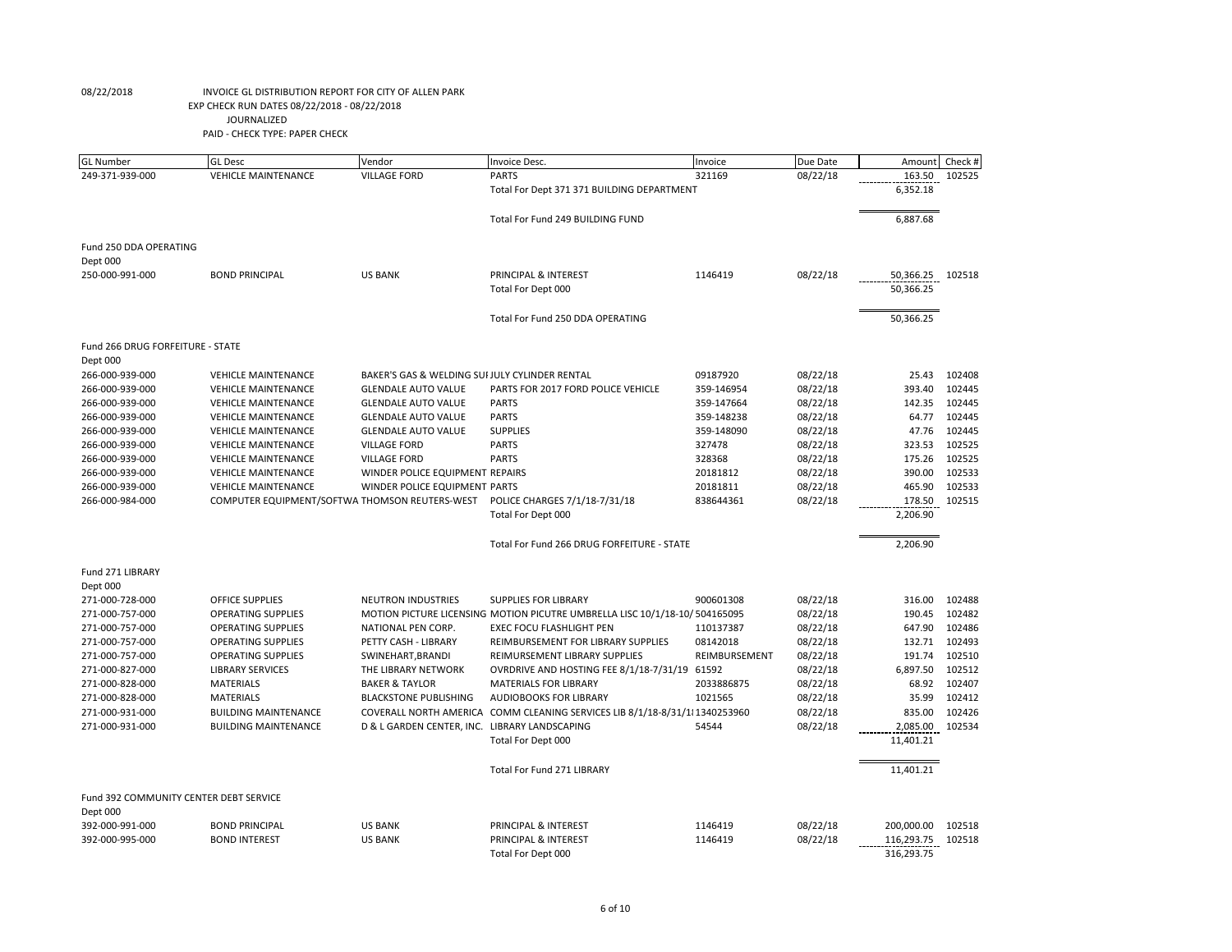| <b>GL Number</b>                       | <b>GL</b> Desc                                 | Vendor                                         | Invoice Desc.                                                               | Invoice       | Due Date | Amount                   | Check # |
|----------------------------------------|------------------------------------------------|------------------------------------------------|-----------------------------------------------------------------------------|---------------|----------|--------------------------|---------|
| 249-371-939-000                        | <b>VEHICLE MAINTENANCE</b>                     | <b>VILLAGE FORD</b>                            | <b>PARTS</b>                                                                | 321169        | 08/22/18 | 163.50                   | 102525  |
|                                        |                                                |                                                | Total For Dept 371 371 BUILDING DEPARTMENT                                  |               |          | 6,352.18                 |         |
|                                        |                                                |                                                | Total For Fund 249 BUILDING FUND                                            |               |          | 6,887.68                 |         |
| Fund 250 DDA OPERATING                 |                                                |                                                |                                                                             |               |          |                          |         |
| Dept 000                               |                                                |                                                |                                                                             |               |          |                          |         |
| 250-000-991-000                        | <b>BOND PRINCIPAL</b>                          | <b>US BANK</b>                                 | PRINCIPAL & INTEREST                                                        | 1146419       | 08/22/18 | 50,366.25                | 102518  |
|                                        |                                                |                                                | Total For Dept 000                                                          |               |          | 50,366.25                |         |
|                                        |                                                |                                                | Total For Fund 250 DDA OPERATING                                            |               |          | 50,366.25                |         |
| Fund 266 DRUG FORFEITURE - STATE       |                                                |                                                |                                                                             |               |          |                          |         |
| Dept 000                               |                                                |                                                |                                                                             |               |          |                          |         |
| 266-000-939-000                        | <b>VEHICLE MAINTENANCE</b>                     | BAKER'S GAS & WELDING SUI JULY CYLINDER RENTAL |                                                                             | 09187920      | 08/22/18 | 25.43                    | 102408  |
| 266-000-939-000                        | <b>VEHICLE MAINTENANCE</b>                     | <b>GLENDALE AUTO VALUE</b>                     | PARTS FOR 2017 FORD POLICE VEHICLE                                          | 359-146954    | 08/22/18 | 393.40                   | 102445  |
| 266-000-939-000                        | <b>VEHICLE MAINTENANCE</b>                     | <b>GLENDALE AUTO VALUE</b>                     | <b>PARTS</b>                                                                | 359-147664    | 08/22/18 | 142.35                   | 102445  |
| 266-000-939-000                        | <b>VEHICLE MAINTENANCE</b>                     | <b>GLENDALE AUTO VALUE</b>                     | <b>PARTS</b>                                                                | 359-148238    | 08/22/18 | 64.77                    | 102445  |
| 266-000-939-000                        | <b>VEHICLE MAINTENANCE</b>                     | <b>GLENDALE AUTO VALUE</b>                     | <b>SUPPLIES</b>                                                             | 359-148090    | 08/22/18 | 47.76                    | 102445  |
| 266-000-939-000                        | <b>VEHICLE MAINTENANCE</b>                     | <b>VILLAGE FORD</b>                            | <b>PARTS</b>                                                                | 327478        | 08/22/18 | 323.53                   | 102525  |
| 266-000-939-000                        | <b>VEHICLE MAINTENANCE</b>                     | <b>VILLAGE FORD</b>                            | <b>PARTS</b>                                                                | 328368        | 08/22/18 | 175.26                   | 102525  |
| 266-000-939-000                        | <b>VEHICLE MAINTENANCE</b>                     | WINDER POLICE EQUIPMENT REPAIRS                |                                                                             | 20181812      | 08/22/18 | 390.00                   | 102533  |
| 266-000-939-000                        | <b>VEHICLE MAINTENANCE</b>                     | WINDER POLICE EQUIPMENT PARTS                  |                                                                             | 20181811      | 08/22/18 | 465.90                   | 102533  |
| 266-000-984-000                        | COMPUTER EQUIPMENT/SOFTWA THOMSON REUTERS-WEST |                                                | POLICE CHARGES 7/1/18-7/31/18                                               | 838644361     | 08/22/18 | 178.50                   | 102515  |
|                                        |                                                |                                                | Total For Dept 000                                                          |               |          | 2,206.90                 |         |
|                                        |                                                |                                                | Total For Fund 266 DRUG FORFEITURE - STATE                                  |               |          | 2,206.90                 |         |
| Fund 271 LIBRARY                       |                                                |                                                |                                                                             |               |          |                          |         |
| Dept 000                               |                                                |                                                |                                                                             |               |          |                          |         |
| 271-000-728-000                        | <b>OFFICE SUPPLIES</b>                         | <b>NEUTRON INDUSTRIES</b>                      | <b>SUPPLIES FOR LIBRARY</b>                                                 | 900601308     | 08/22/18 | 316.00                   | 102488  |
| 271-000-757-000                        | <b>OPERATING SUPPLIES</b>                      |                                                | MOTION PICTURE LICENSING MOTION PICUTRE UMBRELLA LISC 10/1/18-10/ 504165095 |               | 08/22/18 | 190.45                   | 102482  |
| 271-000-757-000                        | <b>OPERATING SUPPLIES</b>                      | NATIONAL PEN CORP.                             | <b>EXEC FOCU FLASHLIGHT PEN</b>                                             | 110137387     | 08/22/18 | 647.90                   | 102486  |
| 271-000-757-000                        | OPERATING SUPPLIES                             | PETTY CASH - LIBRARY                           | REIMBURSEMENT FOR LIBRARY SUPPLIES                                          | 08142018      | 08/22/18 | 132.71                   | 102493  |
| 271-000-757-000                        | <b>OPERATING SUPPLIES</b>                      | SWINEHART, BRANDI                              | REIMURSEMENT LIBRARY SUPPLIES                                               | REIMBURSEMENT | 08/22/18 | 191.74                   | 102510  |
| 271-000-827-000                        | <b>LIBRARY SERVICES</b>                        | THE LIBRARY NETWORK                            | OVRDRIVE AND HOSTING FEE 8/1/18-7/31/19 61592                               |               | 08/22/18 | 6,897.50                 | 102512  |
| 271-000-828-000                        | <b>MATERIALS</b>                               | <b>BAKER &amp; TAYLOR</b>                      | <b>MATERIALS FOR LIBRARY</b>                                                | 2033886875    | 08/22/18 | 68.92                    | 102407  |
| 271-000-828-000                        | <b>MATERIALS</b>                               | <b>BLACKSTONE PUBLISHING</b>                   | <b>AUDIOBOOKS FOR LIBRARY</b>                                               | 1021565       | 08/22/18 | 35.99                    | 102412  |
| 271-000-931-000                        | <b>BUILDING MAINTENANCE</b>                    | COVERALL NORTH AMERICA                         | COMM CLEANING SERVICES LIB 8/1/18-8/31/11 1340253960                        |               | 08/22/18 | 835.00                   | 102426  |
| 271-000-931-000                        | <b>BUILDING MAINTENANCE</b>                    | D & L GARDEN CENTER, INC. LIBRARY LANDSCAPING  |                                                                             | 54544         | 08/22/18 | 2,085.00                 | 102534  |
|                                        |                                                |                                                | Total For Dept 000                                                          |               |          | 11,401.21                |         |
|                                        |                                                |                                                | Total For Fund 271 LIBRARY                                                  |               |          | 11,401.21                |         |
| Fund 392 COMMUNITY CENTER DEBT SERVICE |                                                |                                                |                                                                             |               |          |                          |         |
| Dept 000                               |                                                |                                                |                                                                             |               |          |                          |         |
| 392-000-991-000                        | <b>BOND PRINCIPAL</b>                          | <b>US BANK</b>                                 | PRINCIPAL & INTEREST                                                        | 1146419       | 08/22/18 | 200,000.00               | 102518  |
| 392-000-995-000                        | <b>BOND INTEREST</b>                           | <b>US BANK</b>                                 | PRINCIPAL & INTEREST<br>Total For Dept 000                                  | 1146419       | 08/22/18 | 116,293.75<br>316,293.75 | 102518  |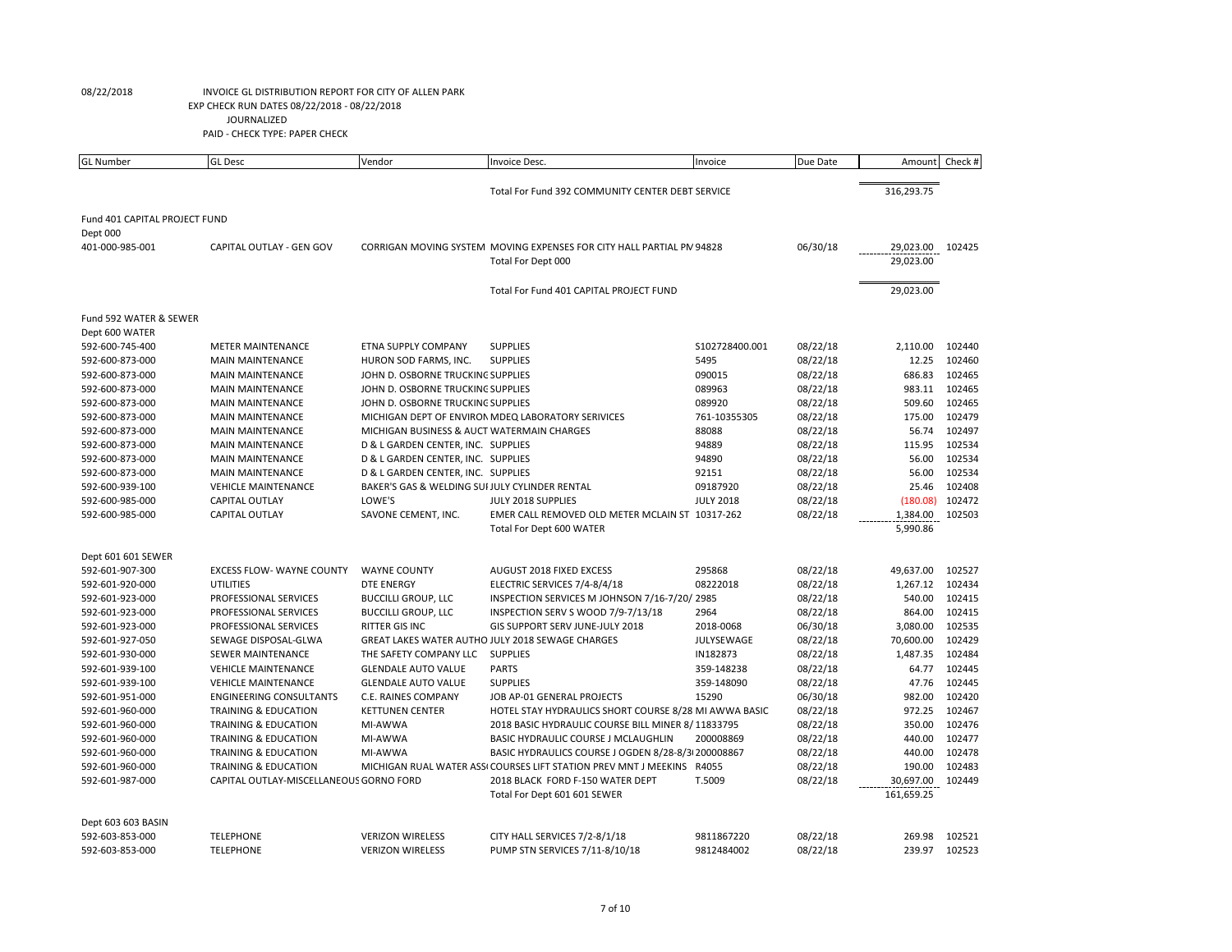| <b>GL Number</b>              | <b>GL</b> Desc                          | Vendor                                         | Invoice Desc.                                                          | Invoice          | Due Date | Amount     | Check # |
|-------------------------------|-----------------------------------------|------------------------------------------------|------------------------------------------------------------------------|------------------|----------|------------|---------|
|                               |                                         |                                                | Total For Fund 392 COMMUNITY CENTER DEBT SERVICE                       |                  |          | 316,293.75 |         |
|                               |                                         |                                                |                                                                        |                  |          |            |         |
| Fund 401 CAPITAL PROJECT FUND |                                         |                                                |                                                                        |                  |          |            |         |
| Dept 000                      |                                         |                                                |                                                                        |                  |          |            |         |
| 401-000-985-001               | CAPITAL OUTLAY - GEN GOV                |                                                | CORRIGAN MOVING SYSTEM MOVING EXPENSES FOR CITY HALL PARTIAL PN 94828  |                  | 06/30/18 | 29,023.00  | 102425  |
|                               |                                         |                                                | Total For Dept 000                                                     |                  |          | 29,023.00  |         |
|                               |                                         |                                                | Total For Fund 401 CAPITAL PROJECT FUND                                |                  |          | 29,023.00  |         |
| Fund 592 WATER & SEWER        |                                         |                                                |                                                                        |                  |          |            |         |
| Dept 600 WATER                |                                         |                                                |                                                                        |                  |          |            |         |
| 592-600-745-400               | <b>METER MAINTENANCE</b>                | <b>ETNA SUPPLY COMPANY</b>                     | <b>SUPPLIES</b>                                                        | S102728400.001   | 08/22/18 | 2,110.00   | 102440  |
| 592-600-873-000               | <b>MAIN MAINTENANCE</b>                 | HURON SOD FARMS, INC.                          | <b>SUPPLIES</b>                                                        | 5495             | 08/22/18 | 12.25      | 102460  |
| 592-600-873-000               | <b>MAIN MAINTENANCE</b>                 | JOHN D. OSBORNE TRUCKING SUPPLIES              |                                                                        | 090015           | 08/22/18 | 686.83     | 102465  |
| 592-600-873-000               | <b>MAIN MAINTENANCE</b>                 | JOHN D. OSBORNE TRUCKING SUPPLIES              |                                                                        | 089963           | 08/22/18 | 983.11     | 102465  |
| 592-600-873-000               | <b>MAIN MAINTENANCE</b>                 | JOHN D. OSBORNE TRUCKING SUPPLIES              |                                                                        | 089920           | 08/22/18 | 509.60     | 102465  |
| 592-600-873-000               | <b>MAIN MAINTENANCE</b>                 |                                                | MICHIGAN DEPT OF ENVIRON MDEQ LABORATORY SERIVICES                     | 761-10355305     | 08/22/18 | 175.00     | 102479  |
| 592-600-873-000               | <b>MAIN MAINTENANCE</b>                 | MICHIGAN BUSINESS & AUCT WATERMAIN CHARGES     |                                                                        | 88088            | 08/22/18 | 56.74      | 102497  |
| 592-600-873-000               | <b>MAIN MAINTENANCE</b>                 | D & L GARDEN CENTER, INC. SUPPLIES             |                                                                        | 94889            | 08/22/18 | 115.95     | 102534  |
| 592-600-873-000               | <b>MAIN MAINTENANCE</b>                 | D & L GARDEN CENTER, INC. SUPPLIES             |                                                                        | 94890            | 08/22/18 | 56.00      | 102534  |
| 592-600-873-000               | <b>MAIN MAINTENANCE</b>                 | D & L GARDEN CENTER, INC. SUPPLIES             |                                                                        | 92151            | 08/22/18 | 56.00      | 102534  |
| 592-600-939-100               | <b>VEHICLE MAINTENANCE</b>              | BAKER'S GAS & WELDING SUI JULY CYLINDER RENTAL |                                                                        | 09187920         | 08/22/18 | 25.46      | 102408  |
| 592-600-985-000               | <b>CAPITAL OUTLAY</b>                   | LOWE'S                                         | JULY 2018 SUPPLIES                                                     | <b>JULY 2018</b> | 08/22/18 | (180.08)   | 102472  |
| 592-600-985-000               | CAPITAL OUTLAY                          | SAVONE CEMENT, INC.                            | EMER CALL REMOVED OLD METER MCLAIN ST 10317-262                        |                  | 08/22/18 | 1,384.00   | 102503  |
|                               |                                         |                                                | Total For Dept 600 WATER                                               |                  |          | 5,990.86   |         |
| Dept 601 601 SEWER            |                                         |                                                |                                                                        |                  |          |            |         |
| 592-601-907-300               | <b>EXCESS FLOW- WAYNE COUNTY</b>        | <b>WAYNE COUNTY</b>                            | AUGUST 2018 FIXED EXCESS                                               | 295868           | 08/22/18 | 49,637.00  | 102527  |
| 592-601-920-000               | <b>UTILITIES</b>                        | <b>DTE ENERGY</b>                              | ELECTRIC SERVICES 7/4-8/4/18                                           | 08222018         | 08/22/18 | 1,267.12   | 102434  |
| 592-601-923-000               | PROFESSIONAL SERVICES                   | <b>BUCCILLI GROUP, LLC</b>                     | INSPECTION SERVICES M JOHNSON 7/16-7/20/ 2985                          |                  | 08/22/18 | 540.00     | 102415  |
| 592-601-923-000               | PROFESSIONAL SERVICES                   | <b>BUCCILLI GROUP, LLC</b>                     | INSPECTION SERV S WOOD 7/9-7/13/18                                     | 2964             | 08/22/18 | 864.00     | 102415  |
| 592-601-923-000               | PROFESSIONAL SERVICES                   | <b>RITTER GIS INC</b>                          | GIS SUPPORT SERV JUNE-JULY 2018                                        | 2018-0068        | 06/30/18 | 3,080.00   | 102535  |
| 592-601-927-050               | SEWAGE DISPOSAL-GLWA                    |                                                | <b>GREAT LAKES WATER AUTHO JULY 2018 SEWAGE CHARGES</b>                | JULYSEWAGE       | 08/22/18 | 70,600.00  | 102429  |
| 592-601-930-000               | <b>SEWER MAINTENANCE</b>                | THE SAFETY COMPANY LLC                         | <b>SUPPLIES</b>                                                        | IN182873         | 08/22/18 | 1,487.35   | 102484  |
| 592-601-939-100               | <b>VEHICLE MAINTENANCE</b>              | <b>GLENDALE AUTO VALUE</b>                     | <b>PARTS</b>                                                           | 359-148238       | 08/22/18 | 64.77      | 102445  |
| 592-601-939-100               | <b>VEHICLE MAINTENANCE</b>              | <b>GLENDALE AUTO VALUE</b>                     | <b>SUPPLIES</b>                                                        | 359-148090       | 08/22/18 | 47.76      | 102445  |
| 592-601-951-000               | <b>ENGINEERING CONSULTANTS</b>          | C.E. RAINES COMPANY                            | JOB AP-01 GENERAL PROJECTS                                             | 15290            | 06/30/18 | 982.00     | 102420  |
| 592-601-960-000               | <b>TRAINING &amp; EDUCATION</b>         | <b>KETTUNEN CENTER</b>                         | HOTEL STAY HYDRAULICS SHORT COURSE 8/28 MI AWWA BASIC                  |                  | 08/22/18 | 972.25     | 102467  |
| 592-601-960-000               | TRAINING & EDUCATION                    | MI-AWWA                                        | 2018 BASIC HYDRAULIC COURSE BILL MINER 8/11833795                      |                  | 08/22/18 | 350.00     | 102476  |
| 592-601-960-000               | TRAINING & EDUCATION                    | MI-AWWA                                        | BASIC HYDRAULIC COURSE J MCLAUGHLIN                                    | 200008869        | 08/22/18 | 440.00     | 102477  |
| 592-601-960-000               | TRAINING & EDUCATION                    | MI-AWWA                                        | BASIC HYDRAULICS COURSE J OGDEN 8/28-8/3 200008867                     |                  | 08/22/18 | 440.00     | 102478  |
| 592-601-960-000               | TRAINING & EDUCATION                    |                                                | MICHIGAN RUAL WATER ASSI COURSES LIFT STATION PREV MNT J MEEKINS R4055 |                  | 08/22/18 | 190.00     | 102483  |
| 592-601-987-000               | CAPITAL OUTLAY-MISCELLANEOUS GORNO FORD |                                                | 2018 BLACK FORD F-150 WATER DEPT                                       | T.5009           | 08/22/18 | 30,697.00  | 102449  |
|                               |                                         |                                                | Total For Dept 601 601 SEWER                                           |                  |          | 161,659.25 |         |
| Dept 603 603 BASIN            |                                         |                                                |                                                                        |                  |          |            |         |
| 592-603-853-000               | <b>TELEPHONE</b>                        | <b>VERIZON WIRELESS</b>                        | CITY HALL SERVICES 7/2-8/1/18                                          | 9811867220       | 08/22/18 | 269.98     | 102521  |
| 592-603-853-000               | <b>TELEPHONE</b>                        | <b>VERIZON WIRELESS</b>                        | PUMP STN SERVICES 7/11-8/10/18                                         | 9812484002       | 08/22/18 | 239.97     | 102523  |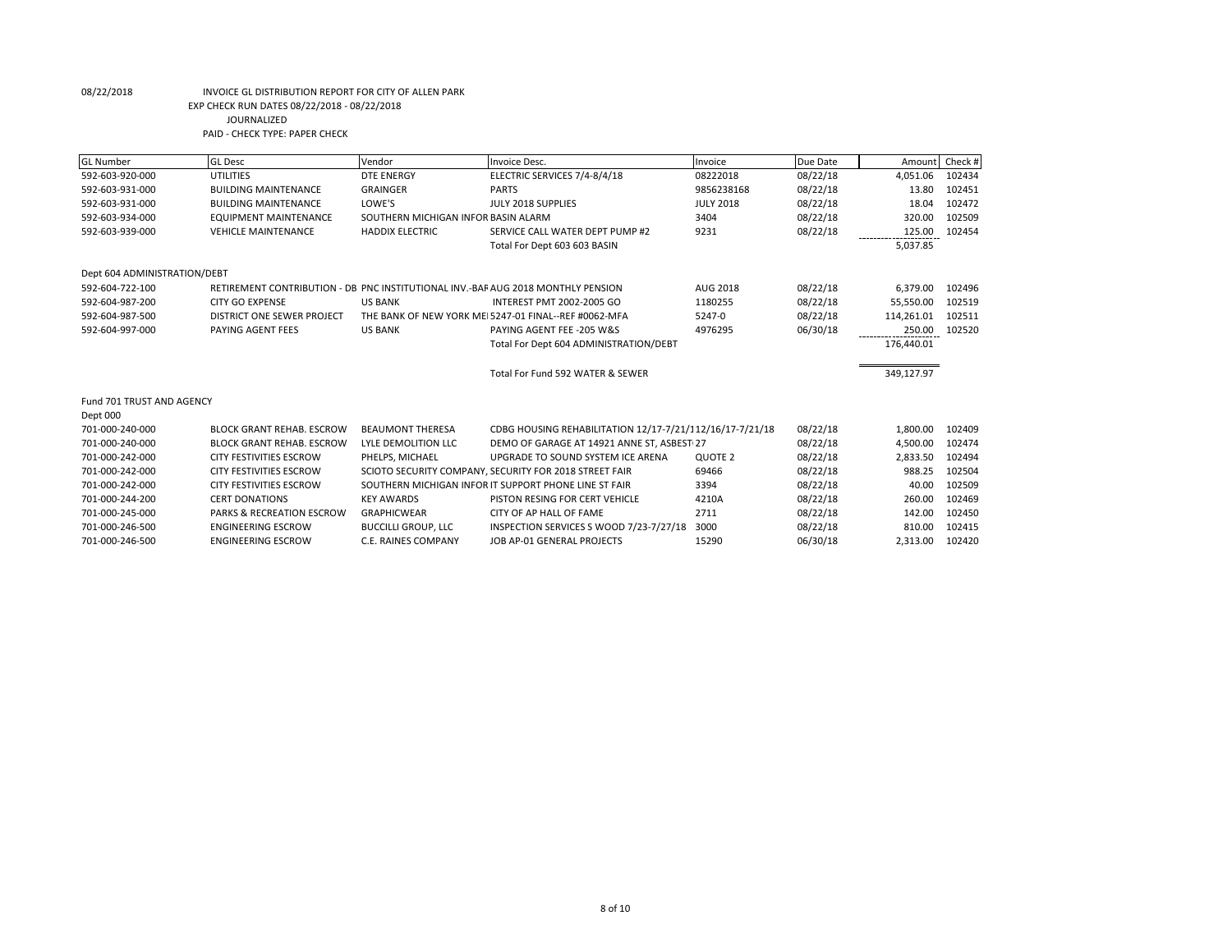| <b>GL Number</b>             | <b>GL Desc</b>                                                                   | Vendor                              | Invoice Desc.                                            | Invoice            | Due Date | Amount     | Check # |
|------------------------------|----------------------------------------------------------------------------------|-------------------------------------|----------------------------------------------------------|--------------------|----------|------------|---------|
| 592-603-920-000              | UTILITIES                                                                        | <b>DTE ENERGY</b>                   | ELECTRIC SERVICES 7/4-8/4/18                             | 08222018           | 08/22/18 | 4,051.06   | 102434  |
| 592-603-931-000              | <b>BUILDING MAINTENANCE</b>                                                      | <b>GRAINGER</b>                     | <b>PARTS</b>                                             | 9856238168         | 08/22/18 | 13.80      | 102451  |
| 592-603-931-000              | <b>BUILDING MAINTENANCE</b>                                                      | LOWE'S                              | JULY 2018 SUPPLIES                                       | <b>JULY 2018</b>   | 08/22/18 | 18.04      | 102472  |
| 592-603-934-000              | <b>EQUIPMENT MAINTENANCE</b>                                                     | SOUTHERN MICHIGAN INFOR BASIN ALARM |                                                          | 3404               | 08/22/18 | 320.00     | 102509  |
| 592-603-939-000              | <b>VEHICLE MAINTENANCE</b>                                                       | <b>HADDIX ELECTRIC</b>              | SERVICE CALL WATER DEPT PUMP #2                          | 9231               | 08/22/18 | 125.00     | 102454  |
|                              |                                                                                  |                                     | Total For Dept 603 603 BASIN                             |                    |          | 5,037.85   |         |
|                              |                                                                                  |                                     |                                                          |                    |          |            |         |
| Dept 604 ADMINISTRATION/DEBT |                                                                                  |                                     |                                                          |                    |          |            |         |
| 592-604-722-100              | RETIREMENT CONTRIBUTION - DB PNC INSTITUTIONAL INV.-BAF AUG 2018 MONTHLY PENSION |                                     |                                                          | AUG 2018           | 08/22/18 | 6,379.00   | 102496  |
| 592-604-987-200              | <b>CITY GO EXPENSE</b>                                                           | <b>US BANK</b>                      | INTEREST PMT 2002-2005 GO                                | 1180255            | 08/22/18 | 55,550.00  | 102519  |
| 592-604-987-500              | DISTRICT ONE SEWER PROJECT                                                       |                                     | THE BANK OF NEW YORK MEI 5247-01 FINAL--REF #0062-MFA    | 5247-0             | 08/22/18 | 114,261.01 | 102511  |
| 592-604-997-000              | PAYING AGENT FEES                                                                | <b>US BANK</b>                      | PAYING AGENT FEE -205 W&S                                | 4976295            | 06/30/18 | 250.00     | 102520  |
|                              |                                                                                  |                                     | Total For Dept 604 ADMINISTRATION/DEBT                   |                    |          | 176,440.01 |         |
|                              |                                                                                  |                                     |                                                          |                    |          |            |         |
|                              |                                                                                  |                                     | Total For Fund 592 WATER & SEWER                         |                    |          | 349,127.97 |         |
|                              |                                                                                  |                                     |                                                          |                    |          |            |         |
| Fund 701 TRUST AND AGENCY    |                                                                                  |                                     |                                                          |                    |          |            |         |
| Dept 000                     |                                                                                  |                                     |                                                          |                    |          |            |         |
| 701-000-240-000              | <b>BLOCK GRANT REHAB. ESCROW</b>                                                 | <b>BEAUMONT THERESA</b>             | CDBG HOUSING REHABILITATION 12/17-7/21/112/16/17-7/21/18 |                    | 08/22/18 | 1,800.00   | 102409  |
| 701-000-240-000              | <b>BLOCK GRANT REHAB. ESCROW</b>                                                 | LYLE DEMOLITION LLC                 | DEMO OF GARAGE AT 14921 ANNE ST, ASBEST 27               |                    | 08/22/18 | 4,500.00   | 102474  |
| 701-000-242-000              | <b>CITY FESTIVITIES ESCROW</b>                                                   | PHELPS, MICHAEL                     | UPGRADE TO SOUND SYSTEM ICE ARENA                        | QUOTE <sub>2</sub> | 08/22/18 | 2,833.50   | 102494  |
| 701-000-242-000              | <b>CITY FESTIVITIES ESCROW</b>                                                   |                                     | SCIOTO SECURITY COMPANY, SECURITY FOR 2018 STREET FAIR   | 69466              | 08/22/18 | 988.25     | 102504  |
| 701-000-242-000              | <b>CITY FESTIVITIES ESCROW</b>                                                   |                                     | SOUTHERN MICHIGAN INFOR IT SUPPORT PHONE LINE ST FAIR    | 3394               | 08/22/18 | 40.00      | 102509  |
| 701-000-244-200              | <b>CERT DONATIONS</b>                                                            | <b>KEY AWARDS</b>                   | PISTON RESING FOR CERT VEHICLE                           | 4210A              | 08/22/18 | 260.00     | 102469  |
| 701-000-245-000              | <b>PARKS &amp; RECREATION ESCROW</b>                                             | <b>GRAPHICWEAR</b>                  | CITY OF AP HALL OF FAME                                  | 2711               | 08/22/18 | 142.00     | 102450  |
| 701-000-246-500              | <b>ENGINEERING ESCROW</b>                                                        | <b>BUCCILLI GROUP, LLC</b>          | INSPECTION SERVICES S WOOD 7/23-7/27/18                  | 3000               | 08/22/18 | 810.00     | 102415  |
| 701-000-246-500              | <b>ENGINEERING ESCROW</b>                                                        | <b>C.E. RAINES COMPANY</b>          | JOB AP-01 GENERAL PROJECTS                               | 15290              | 06/30/18 | 2.313.00   | 102420  |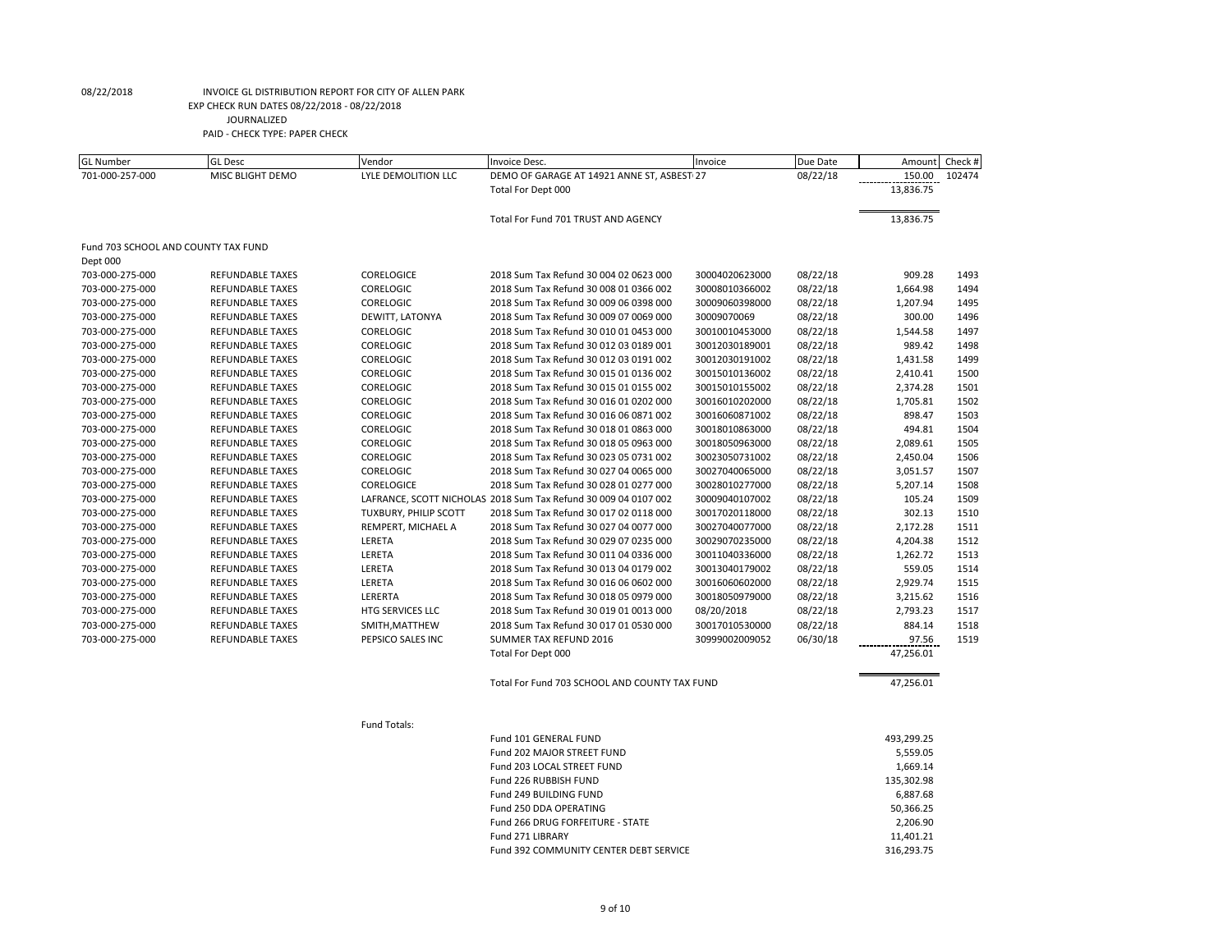| GL Number                           | GL Desc                 | Vendor                | Invoice Desc.                                                   | Invoice        | Due Date |            | Amount Check # |
|-------------------------------------|-------------------------|-----------------------|-----------------------------------------------------------------|----------------|----------|------------|----------------|
| 701-000-257-000                     | MISC BLIGHT DEMO        | LYLE DEMOLITION LLC   | DEMO OF GARAGE AT 14921 ANNE ST, ASBEST 27                      |                | 08/22/18 | 150.00     | 102474         |
|                                     |                         |                       | Total For Dept 000                                              |                |          | 13,836.75  |                |
|                                     |                         |                       | Total For Fund 701 TRUST AND AGENCY                             |                |          | 13,836.75  |                |
| Fund 703 SCHOOL AND COUNTY TAX FUND |                         |                       |                                                                 |                |          |            |                |
| Dept 000                            |                         |                       |                                                                 |                |          |            |                |
| 703-000-275-000                     | REFUNDABLE TAXES        | CORELOGICE            | 2018 Sum Tax Refund 30 004 02 0623 000                          | 30004020623000 | 08/22/18 | 909.28     | 1493           |
| 703-000-275-000                     | REFUNDABLE TAXES        | CORELOGIC             | 2018 Sum Tax Refund 30 008 01 0366 002                          | 30008010366002 | 08/22/18 | 1,664.98   | 1494           |
| 703-000-275-000                     | REFUNDABLE TAXES        | CORELOGIC             | 2018 Sum Tax Refund 30 009 06 0398 000                          | 30009060398000 | 08/22/18 | 1,207.94   | 1495           |
| 703-000-275-000                     | <b>REFUNDABLE TAXES</b> | DEWITT, LATONYA       | 2018 Sum Tax Refund 30 009 07 0069 000                          | 30009070069    | 08/22/18 | 300.00     | 1496           |
| 703-000-275-000                     | REFUNDABLE TAXES        | CORELOGIC             | 2018 Sum Tax Refund 30 010 01 0453 000                          | 30010010453000 | 08/22/18 | 1,544.58   | 1497           |
| 703-000-275-000                     | <b>REFUNDABLE TAXES</b> | <b>CORELOGIC</b>      | 2018 Sum Tax Refund 30 012 03 0189 001                          | 30012030189001 | 08/22/18 | 989.42     | 1498           |
| 703-000-275-000                     | <b>REFUNDABLE TAXES</b> | CORELOGIC             | 2018 Sum Tax Refund 30 012 03 0191 002                          | 30012030191002 | 08/22/18 | 1,431.58   | 1499           |
| 703-000-275-000                     | REFUNDABLE TAXES        | <b>CORELOGIC</b>      | 2018 Sum Tax Refund 30 015 01 0136 002                          | 30015010136002 | 08/22/18 | 2,410.41   | 1500           |
| 703-000-275-000                     | REFUNDABLE TAXES        | CORELOGIC             | 2018 Sum Tax Refund 30 015 01 0155 002                          | 30015010155002 | 08/22/18 | 2,374.28   | 1501           |
| 703-000-275-000                     | REFUNDABLE TAXES        | <b>CORELOGIC</b>      | 2018 Sum Tax Refund 30 016 01 0202 000                          | 30016010202000 | 08/22/18 | 1,705.81   | 1502           |
| 703-000-275-000                     | REFUNDABLE TAXES        | CORELOGIC             | 2018 Sum Tax Refund 30 016 06 0871 002                          | 30016060871002 | 08/22/18 | 898.47     | 1503           |
| 703-000-275-000                     | REFUNDABLE TAXES        | CORELOGIC             | 2018 Sum Tax Refund 30 018 01 0863 000                          | 30018010863000 | 08/22/18 | 494.81     | 1504           |
| 703-000-275-000                     | REFUNDABLE TAXES        | CORELOGIC             | 2018 Sum Tax Refund 30 018 05 0963 000                          | 30018050963000 | 08/22/18 | 2,089.61   | 1505           |
| 703-000-275-000                     | REFUNDABLE TAXES        | <b>CORELOGIC</b>      | 2018 Sum Tax Refund 30 023 05 0731 002                          | 30023050731002 | 08/22/18 | 2,450.04   | 1506           |
| 703-000-275-000                     | REFUNDABLE TAXES        | <b>CORELOGIC</b>      | 2018 Sum Tax Refund 30 027 04 0065 000                          | 30027040065000 | 08/22/18 | 3,051.57   | 1507           |
| 703-000-275-000                     | REFUNDABLE TAXES        | CORELOGICE            | 2018 Sum Tax Refund 30 028 01 0277 000                          | 30028010277000 | 08/22/18 | 5,207.14   | 1508           |
| 703-000-275-000                     | REFUNDABLE TAXES        |                       | LAFRANCE, SCOTT NICHOLAS 2018 Sum Tax Refund 30 009 04 0107 002 | 30009040107002 | 08/22/18 | 105.24     | 1509           |
| 703-000-275-000                     | REFUNDABLE TAXES        | TUXBURY, PHILIP SCOTT | 2018 Sum Tax Refund 30 017 02 0118 000                          | 30017020118000 | 08/22/18 | 302.13     | 1510           |
| 703-000-275-000                     | REFUNDABLE TAXES        | REMPERT, MICHAEL A    | 2018 Sum Tax Refund 30 027 04 0077 000                          | 30027040077000 | 08/22/18 | 2,172.28   | 1511           |
| 703-000-275-000                     | REFUNDABLE TAXES        | LERETA                | 2018 Sum Tax Refund 30 029 07 0235 000                          | 30029070235000 | 08/22/18 | 4,204.38   | 1512           |
| 703-000-275-000                     | REFUNDABLE TAXES        | LERETA                | 2018 Sum Tax Refund 30 011 04 0336 000                          | 30011040336000 | 08/22/18 | 1,262.72   | 1513           |
| 703-000-275-000                     | REFUNDABLE TAXES        | LERETA                | 2018 Sum Tax Refund 30 013 04 0179 002                          | 30013040179002 | 08/22/18 | 559.05     | 1514           |
| 703-000-275-000                     | <b>REFUNDABLE TAXES</b> | LERETA                | 2018 Sum Tax Refund 30 016 06 0602 000                          | 30016060602000 | 08/22/18 | 2,929.74   | 1515           |
| 703-000-275-000                     | REFUNDABLE TAXES        | LERERTA               | 2018 Sum Tax Refund 30 018 05 0979 000                          | 30018050979000 | 08/22/18 | 3,215.62   | 1516           |
| 703-000-275-000                     | REFUNDABLE TAXES        | HTG SERVICES LLC      | 2018 Sum Tax Refund 30 019 01 0013 000                          | 08/20/2018     | 08/22/18 | 2,793.23   | 1517           |
| 703-000-275-000                     | REFUNDABLE TAXES        | SMITH, MATTHEW        | 2018 Sum Tax Refund 30 017 01 0530 000                          | 30017010530000 | 08/22/18 | 884.14     | 1518           |
| 703-000-275-000                     | REFUNDABLE TAXES        | PEPSICO SALES INC     | SUMMER TAX REFUND 2016                                          | 30999002009052 | 06/30/18 | 97.56      | 1519           |
|                                     |                         |                       | Total For Dept 000                                              |                |          | 47,256.01  |                |
|                                     |                         |                       | Total For Fund 703 SCHOOL AND COUNTY TAX FUND                   |                |          | 47,256.01  |                |
|                                     |                         | Fund Totals:          |                                                                 |                |          |            |                |
|                                     |                         |                       | Fund 101 GENERAL FUND                                           |                |          | 493,299.25 |                |
|                                     |                         |                       | Fund 202 MAJOR STREET FUND                                      |                |          | 5,559.05   |                |
|                                     |                         |                       | Fund 203 LOCAL STREET FUND                                      |                |          | 1,669.14   |                |
|                                     |                         |                       | Fund 226 RUBBISH FUND                                           |                |          | 135,302.98 |                |
|                                     |                         |                       | Fund 249 BUILDING FUND                                          |                |          | 6,887.68   |                |
|                                     |                         |                       | Fund 250 DDA OPERATING                                          |                |          | 50,366.25  |                |
|                                     |                         |                       | Fund 266 DRUG FORFEITURE - STATE                                |                |          | 2,206.90   |                |
|                                     |                         |                       | Fund 271 LIBRARY                                                |                |          | 11,401.21  |                |
|                                     |                         |                       | Fund 392 COMMUNITY CENTER DEBT SERVICE                          |                |          | 316,293.75 |                |